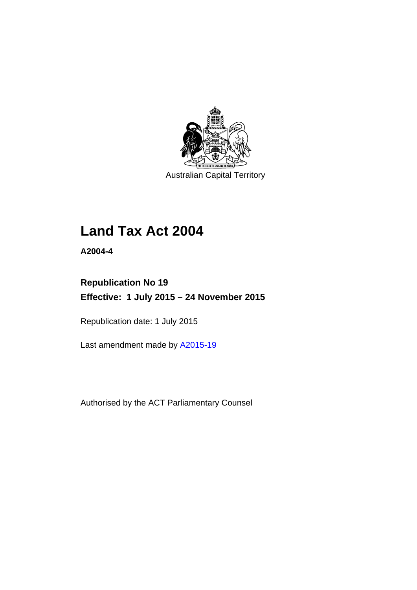

Australian Capital Territory

# **Land Tax Act 2004**

**A2004-4** 

## **Republication No 19 Effective: 1 July 2015 – 24 November 2015**

Republication date: 1 July 2015

Last amendment made by [A2015-19](http://www.legislation.act.gov.au/a/2015-19)

Authorised by the ACT Parliamentary Counsel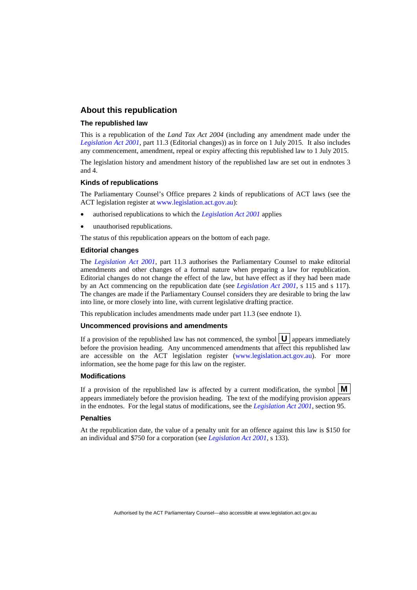## **About this republication**

#### **The republished law**

This is a republication of the *Land Tax Act 2004* (including any amendment made under the *[Legislation Act 2001](http://www.legislation.act.gov.au/a/2001-14)*, part 11.3 (Editorial changes)) as in force on 1 July 2015*.* It also includes any commencement, amendment, repeal or expiry affecting this republished law to 1 July 2015.

The legislation history and amendment history of the republished law are set out in endnotes 3 and 4.

#### **Kinds of republications**

The Parliamentary Counsel's Office prepares 2 kinds of republications of ACT laws (see the ACT legislation register at [www.legislation.act.gov.au](http://www.legislation.act.gov.au/)):

- authorised republications to which the *[Legislation Act 2001](http://www.legislation.act.gov.au/a/2001-14)* applies
- unauthorised republications.

The status of this republication appears on the bottom of each page.

#### **Editorial changes**

The *[Legislation Act 2001](http://www.legislation.act.gov.au/a/2001-14)*, part 11.3 authorises the Parliamentary Counsel to make editorial amendments and other changes of a formal nature when preparing a law for republication. Editorial changes do not change the effect of the law, but have effect as if they had been made by an Act commencing on the republication date (see *[Legislation Act 2001](http://www.legislation.act.gov.au/a/2001-14)*, s 115 and s 117). The changes are made if the Parliamentary Counsel considers they are desirable to bring the law into line, or more closely into line, with current legislative drafting practice.

This republication includes amendments made under part 11.3 (see endnote 1).

#### **Uncommenced provisions and amendments**

If a provision of the republished law has not commenced, the symbol  $\mathbf{U}$  appears immediately before the provision heading. Any uncommenced amendments that affect this republished law are accessible on the ACT legislation register [\(www.legislation.act.gov.au\)](http://www.legislation.act.gov.au/). For more information, see the home page for this law on the register.

#### **Modifications**

If a provision of the republished law is affected by a current modification, the symbol  $\mathbf{M}$ appears immediately before the provision heading. The text of the modifying provision appears in the endnotes. For the legal status of modifications, see the *[Legislation Act 2001](http://www.legislation.act.gov.au/a/2001-14)*, section 95.

#### **Penalties**

At the republication date, the value of a penalty unit for an offence against this law is \$150 for an individual and \$750 for a corporation (see *[Legislation Act 2001](http://www.legislation.act.gov.au/a/2001-14)*, s 133).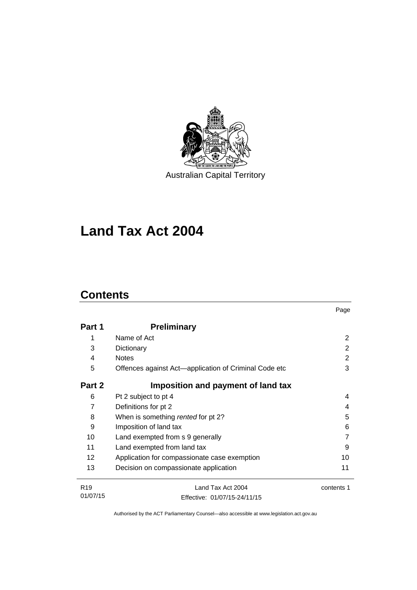

# **Land Tax Act 2004**

## **Contents**

|                 |                                                       | Page       |
|-----------------|-------------------------------------------------------|------------|
| Part 1          | <b>Preliminary</b>                                    |            |
| 1               | Name of Act                                           | 2          |
| 3               | Dictionary                                            | 2          |
| 4               | <b>Notes</b>                                          | 2          |
| 5               | Offences against Act-application of Criminal Code etc | 3          |
| Part 2          | Imposition and payment of land tax                    |            |
| 6               | Pt 2 subject to pt 4                                  | 4          |
| 7               | Definitions for pt 2                                  | 4          |
| 8               | When is something rented for pt 2?                    | 5          |
| 9               | Imposition of land tax                                | 6          |
| 10              | Land exempted from s 9 generally                      | 7          |
| 11              | Land exempted from land tax                           |            |
| 12              | Application for compassionate case exemption          | 10         |
| 13              | Decision on compassionate application                 | 11         |
| R <sub>19</sub> | Land Tax Act 2004                                     | contents 1 |
| 01/07/15        | Effective: 01/07/15-24/11/15                          |            |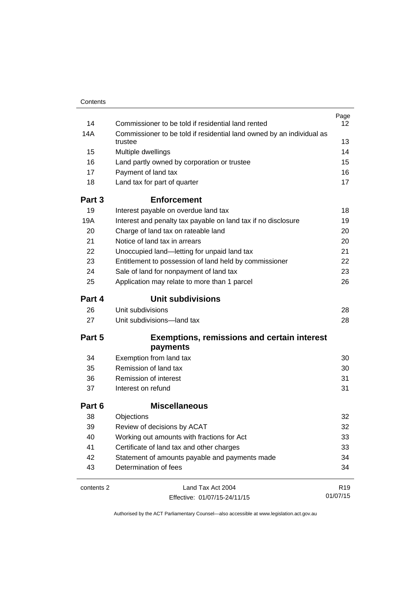| Contents   |                                                                       |                 |  |  |
|------------|-----------------------------------------------------------------------|-----------------|--|--|
|            |                                                                       | Page            |  |  |
| 14         | Commissioner to be told if residential land rented                    | 12              |  |  |
| 14A        | Commissioner to be told if residential land owned by an individual as |                 |  |  |
|            | trustee                                                               | 13              |  |  |
| 15         | Multiple dwellings                                                    | 14              |  |  |
| 16         | Land partly owned by corporation or trustee                           | 15              |  |  |
| 17         | Payment of land tax                                                   | 16              |  |  |
| 18         | Land tax for part of quarter                                          | 17              |  |  |
| Part 3     | <b>Enforcement</b>                                                    |                 |  |  |
| 19         | Interest payable on overdue land tax                                  | 18              |  |  |
| 19A        | Interest and penalty tax payable on land tax if no disclosure         | 19              |  |  |
| 20         | Charge of land tax on rateable land                                   | 20              |  |  |
| 21         | Notice of land tax in arrears                                         | 20              |  |  |
| 22         | Unoccupied land-letting for unpaid land tax                           | 21              |  |  |
| 23         | Entitlement to possession of land held by commissioner                | 22              |  |  |
| 24         | Sale of land for nonpayment of land tax                               | 23              |  |  |
| 25         | Application may relate to more than 1 parcel                          |                 |  |  |
| Part 4     | <b>Unit subdivisions</b>                                              |                 |  |  |
| 26         | Unit subdivisions                                                     | 28              |  |  |
| 27         | Unit subdivisions-land tax                                            | 28              |  |  |
| Part 5     | <b>Exemptions, remissions and certain interest</b>                    |                 |  |  |
|            | payments                                                              |                 |  |  |
| 34         | Exemption from land tax                                               | 30              |  |  |
| 35         | Remission of land tax                                                 | 30              |  |  |
| 36         | Remission of interest                                                 | 31              |  |  |
| 37         | Interest on refund                                                    | 31              |  |  |
| Part 6     | <b>Miscellaneous</b>                                                  |                 |  |  |
| 38         | Objections                                                            | 32              |  |  |
| 39         | Review of decisions by ACAT                                           | 32              |  |  |
| 40         | Working out amounts with fractions for Act                            |                 |  |  |
| 41         | 33<br>Certificate of land tax and other charges<br>33                 |                 |  |  |
| 42         | Statement of amounts payable and payments made                        |                 |  |  |
| 43         | Determination of fees                                                 | 34<br>34        |  |  |
| contents 2 | Land Tax Act 2004                                                     | R <sub>19</sub> |  |  |
|            | Effective: 01/07/15-24/11/15                                          | 01/07/15        |  |  |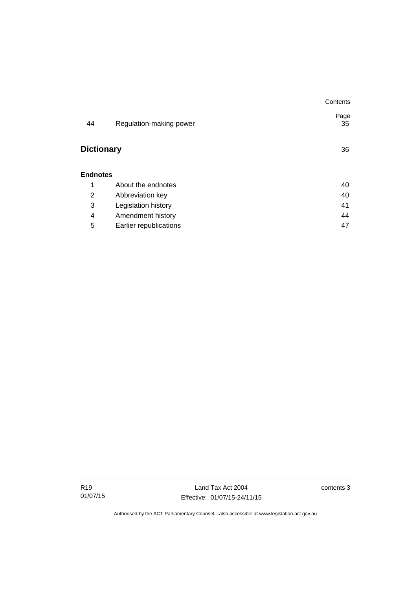|                   |                         | Contents   |
|-------------------|-------------------------|------------|
| 44                | Regulation-making power | Page<br>35 |
| <b>Dictionary</b> |                         | 36         |
| <b>Endnotes</b>   |                         |            |
| 1                 | About the endnotes      | 40         |
| 2                 | Abbreviation key        | 40         |
| 3                 | Legislation history     | 41         |
| 4                 | Amendment history       | 44         |
| 5                 | Earlier republications  | 47         |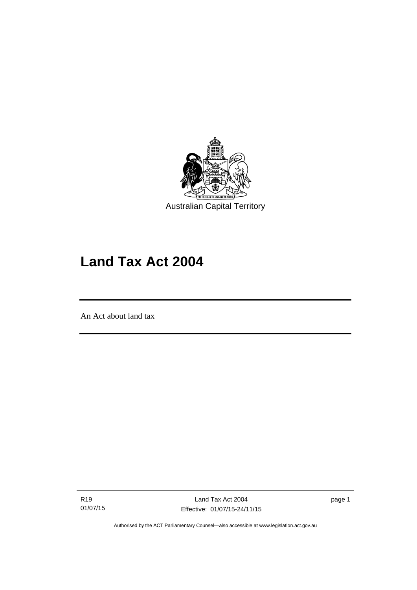

# **Land Tax Act 2004**

An Act about land tax

l

R19 01/07/15 page 1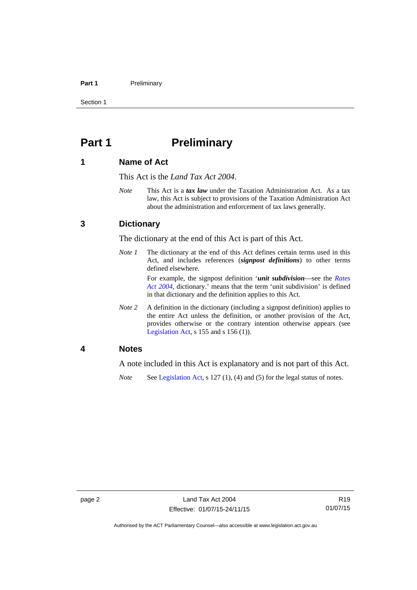#### Part 1 **Preliminary**

Section 1

## <span id="page-7-0"></span>**Part 1** Preliminary

## <span id="page-7-1"></span>**1 Name of Act**

This Act is the *Land Tax Act 2004*.

*Note* This Act is a *tax law* under the Taxation Administration Act. As a tax law, this Act is subject to provisions of the Taxation Administration Act about the administration and enforcement of tax laws generally.

## <span id="page-7-2"></span>**3 Dictionary**

The dictionary at the end of this Act is part of this Act.

*Note 1* The dictionary at the end of this Act defines certain terms used in this Act, and includes references (*signpost definitions*) to other terms defined elsewhere.

> For example, the signpost definition '*unit subdivision*—see the *[Rates](http://www.legislation.act.gov.au/a/2004-3)  [Act 2004](http://www.legislation.act.gov.au/a/2004-3)*, dictionary.' means that the term 'unit subdivision' is defined in that dictionary and the definition applies to this Act.

*Note* 2 A definition in the dictionary (including a signpost definition) applies to the entire Act unless the definition, or another provision of the Act, provides otherwise or the contrary intention otherwise appears (see [Legislation Act,](http://www.legislation.act.gov.au/a/2001-14)  $s$  155 and  $s$  156 (1)).

## <span id="page-7-3"></span>**4 Notes**

A note included in this Act is explanatory and is not part of this Act.

*Note* See [Legislation Act,](http://www.legislation.act.gov.au/a/2001-14) s 127 (1), (4) and (5) for the legal status of notes.

Authorised by the ACT Parliamentary Counsel—also accessible at www.legislation.act.gov.au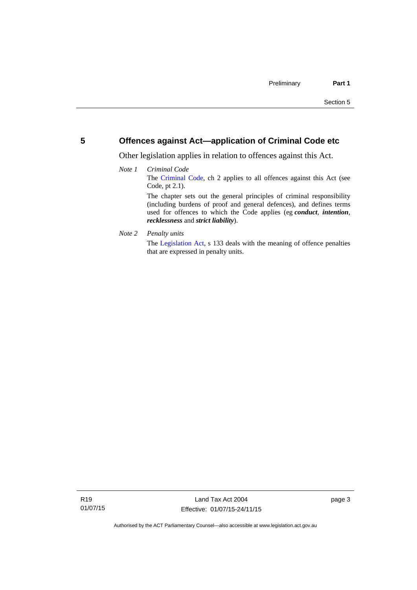## <span id="page-8-0"></span>**5 Offences against Act—application of Criminal Code etc**

Other legislation applies in relation to offences against this Act.

#### *Note 1 Criminal Code* The [Criminal Code](http://www.legislation.act.gov.au/a/2002-51), ch 2 applies to all offences against this Act (see Code, pt 2.1). The chapter sets out the general principles of criminal responsibility (including burdens of proof and general defences), and defines terms used for offences to which the Code applies (eg *conduct*, *intention*, *recklessness* and *strict liability*).

*Note 2 Penalty units* 

The [Legislation Act](http://www.legislation.act.gov.au/a/2001-14), s 133 deals with the meaning of offence penalties that are expressed in penalty units.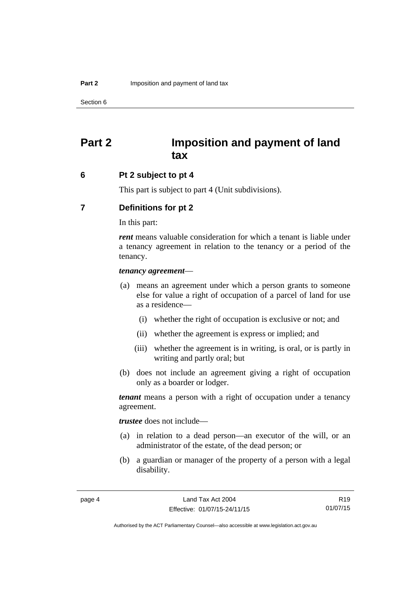## <span id="page-9-0"></span>**Part 2 Imposition and payment of land tax**

### <span id="page-9-1"></span>**6 Pt 2 subject to pt 4**

This part is subject to part 4 (Unit subdivisions).

## <span id="page-9-2"></span>**7 Definitions for pt 2**

In this part:

*rent* means valuable consideration for which a tenant is liable under a tenancy agreement in relation to the tenancy or a period of the tenancy.

#### *tenancy agreement*—

- (a) means an agreement under which a person grants to someone else for value a right of occupation of a parcel of land for use as a residence—
	- (i) whether the right of occupation is exclusive or not; and
	- (ii) whether the agreement is express or implied; and
	- (iii) whether the agreement is in writing, is oral, or is partly in writing and partly oral; but
- (b) does not include an agreement giving a right of occupation only as a boarder or lodger.

*tenant* means a person with a right of occupation under a tenancy agreement.

*trustee* does not include—

- (a) in relation to a dead person—an executor of the will, or an administrator of the estate, of the dead person; or
- (b) a guardian or manager of the property of a person with a legal disability.

R19 01/07/15

Authorised by the ACT Parliamentary Counsel—also accessible at www.legislation.act.gov.au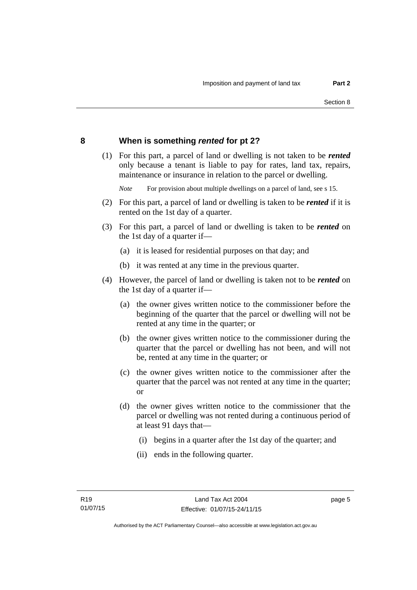## <span id="page-10-0"></span>**8 When is something** *rented* **for pt 2?**

 (1) For this part, a parcel of land or dwelling is not taken to be *rented* only because a tenant is liable to pay for rates, land tax, repairs, maintenance or insurance in relation to the parcel or dwelling.

*Note* For provision about multiple dwellings on a parcel of land, see s 15.

- (2) For this part, a parcel of land or dwelling is taken to be *rented* if it is rented on the 1st day of a quarter.
- (3) For this part, a parcel of land or dwelling is taken to be *rented* on the 1st day of a quarter if—
	- (a) it is leased for residential purposes on that day; and
	- (b) it was rented at any time in the previous quarter.
- (4) However, the parcel of land or dwelling is taken not to be *rented* on the 1st day of a quarter if—
	- (a) the owner gives written notice to the commissioner before the beginning of the quarter that the parcel or dwelling will not be rented at any time in the quarter; or
	- (b) the owner gives written notice to the commissioner during the quarter that the parcel or dwelling has not been, and will not be, rented at any time in the quarter; or
	- (c) the owner gives written notice to the commissioner after the quarter that the parcel was not rented at any time in the quarter; or
	- (d) the owner gives written notice to the commissioner that the parcel or dwelling was not rented during a continuous period of at least 91 days that—
		- (i) begins in a quarter after the 1st day of the quarter; and
		- (ii) ends in the following quarter.

page 5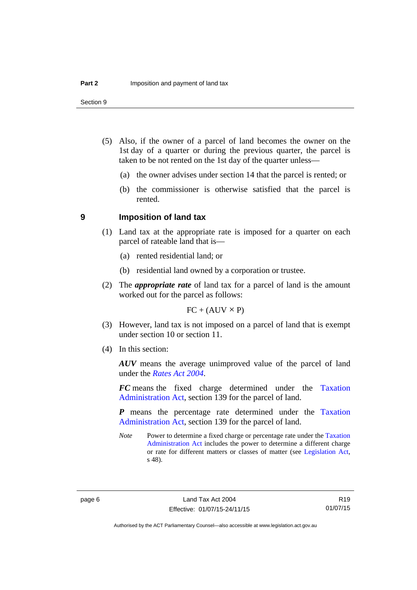- (5) Also, if the owner of a parcel of land becomes the owner on the 1st day of a quarter or during the previous quarter, the parcel is taken to be not rented on the 1st day of the quarter unless—
	- (a) the owner advises under section 14 that the parcel is rented; or
	- (b) the commissioner is otherwise satisfied that the parcel is rented.

#### <span id="page-11-0"></span>**9 Imposition of land tax**

- (1) Land tax at the appropriate rate is imposed for a quarter on each parcel of rateable land that is—
	- (a) rented residential land; or
	- (b) residential land owned by a corporation or trustee.
- (2) The *appropriate rate* of land tax for a parcel of land is the amount worked out for the parcel as follows:

 $FC + (AUV \times P)$ 

- (3) However, land tax is not imposed on a parcel of land that is exempt under section 10 or section 11.
- (4) In this section:

*AUV* means the average unimproved value of the parcel of land under the *[Rates Act 2004](http://www.legislation.act.gov.au/a/2004-3)*.

*FC* means the fixed charge determined under the [Taxation](http://www.legislation.act.gov.au/a/1999-4/default.asp)  [Administration Act](http://www.legislation.act.gov.au/a/1999-4/default.asp), section 139 for the parcel of land.

*P* means the percentage rate determined under the [Taxation](http://www.legislation.act.gov.au/a/1999-4/default.asp)  [Administration Act](http://www.legislation.act.gov.au/a/1999-4/default.asp), section 139 for the parcel of land.

*Note* Power to determine a fixed charge or percentage rate under the Taxation [Administration Act](http://www.legislation.act.gov.au/a/1999-4/default.asp) includes the power to determine a different charge or rate for different matters or classes of matter (see [Legislation Act,](http://www.legislation.act.gov.au/a/2001-14) s 48).

R19 01/07/15

Authorised by the ACT Parliamentary Counsel—also accessible at www.legislation.act.gov.au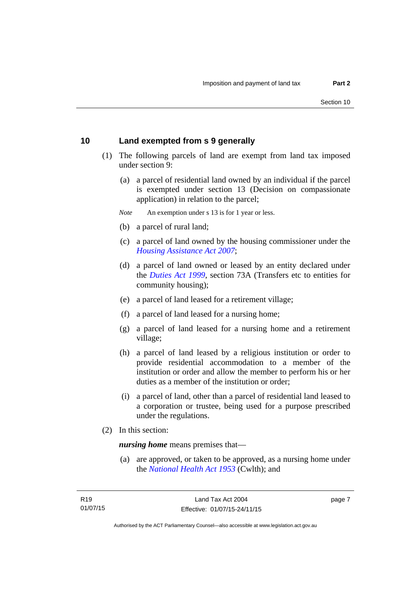## <span id="page-12-0"></span>**10 Land exempted from s 9 generally**

- (1) The following parcels of land are exempt from land tax imposed under section 9:
	- (a) a parcel of residential land owned by an individual if the parcel is exempted under section 13 (Decision on compassionate application) in relation to the parcel;
	- *Note* An exemption under s 13 is for 1 year or less.
	- (b) a parcel of rural land;
	- (c) a parcel of land owned by the housing commissioner under the *[Housing Assistance Act 2007](http://www.legislation.act.gov.au/a/2007-8)*;
	- (d) a parcel of land owned or leased by an entity declared under the *[Duties Act 1999](http://www.legislation.act.gov.au/a/1999-7)*, section 73A (Transfers etc to entities for community housing);
	- (e) a parcel of land leased for a retirement village;
	- (f) a parcel of land leased for a nursing home;
	- (g) a parcel of land leased for a nursing home and a retirement village;
	- (h) a parcel of land leased by a religious institution or order to provide residential accommodation to a member of the institution or order and allow the member to perform his or her duties as a member of the institution or order;
	- (i) a parcel of land, other than a parcel of residential land leased to a corporation or trustee, being used for a purpose prescribed under the regulations.
- (2) In this section:

*nursing home* means premises that—

 (a) are approved, or taken to be approved, as a nursing home under the *[National Health Act 1953](http://www.comlaw.gov.au/Details/C2013C00083)* (Cwlth); and

page 7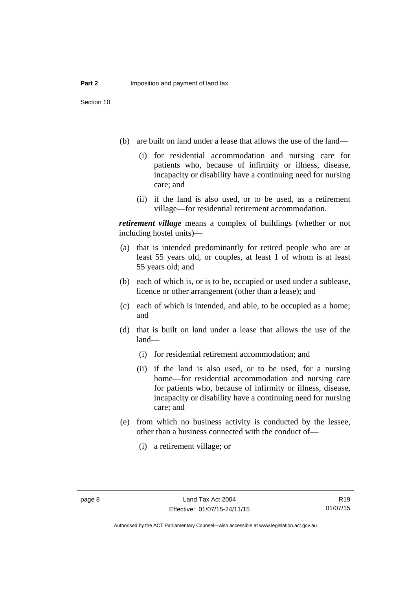- (b) are built on land under a lease that allows the use of the land—
	- (i) for residential accommodation and nursing care for patients who, because of infirmity or illness, disease, incapacity or disability have a continuing need for nursing care; and
	- (ii) if the land is also used, or to be used, as a retirement village—for residential retirement accommodation.

*retirement village* means a complex of buildings (whether or not including hostel units)—

- (a) that is intended predominantly for retired people who are at least 55 years old, or couples, at least 1 of whom is at least 55 years old; and
- (b) each of which is, or is to be, occupied or used under a sublease, licence or other arrangement (other than a lease); and
- (c) each of which is intended, and able, to be occupied as a home; and
- (d) that is built on land under a lease that allows the use of the land—
	- (i) for residential retirement accommodation; and
	- (ii) if the land is also used, or to be used, for a nursing home—for residential accommodation and nursing care for patients who, because of infirmity or illness, disease, incapacity or disability have a continuing need for nursing care; and
- (e) from which no business activity is conducted by the lessee, other than a business connected with the conduct of—
	- (i) a retirement village; or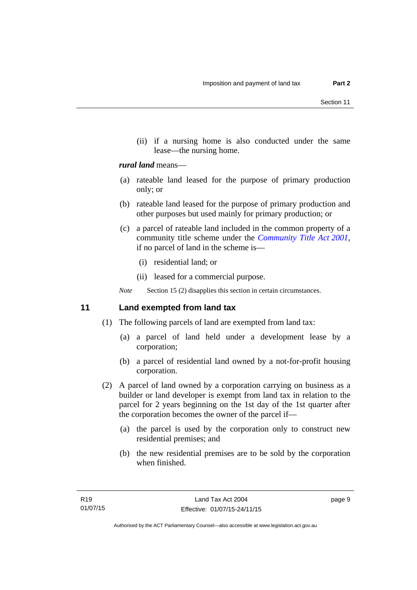(ii) if a nursing home is also conducted under the same lease—the nursing home.

### *rural land* means—

- (a) rateable land leased for the purpose of primary production only; or
- (b) rateable land leased for the purpose of primary production and other purposes but used mainly for primary production; or
- (c) a parcel of rateable land included in the common property of a community title scheme under the *[Community Title Act 2001](http://www.legislation.act.gov.au/a/2001-58)*, if no parcel of land in the scheme is—
	- (i) residential land; or
	- (ii) leased for a commercial purpose.

*Note* Section 15 (2) disapplies this section in certain circumstances.

## <span id="page-14-0"></span>**11 Land exempted from land tax**

- (1) The following parcels of land are exempted from land tax:
	- (a) a parcel of land held under a development lease by a corporation;
	- (b) a parcel of residential land owned by a not-for-profit housing corporation.
- (2) A parcel of land owned by a corporation carrying on business as a builder or land developer is exempt from land tax in relation to the parcel for 2 years beginning on the 1st day of the 1st quarter after the corporation becomes the owner of the parcel if—
	- (a) the parcel is used by the corporation only to construct new residential premises; and
	- (b) the new residential premises are to be sold by the corporation when finished.

page 9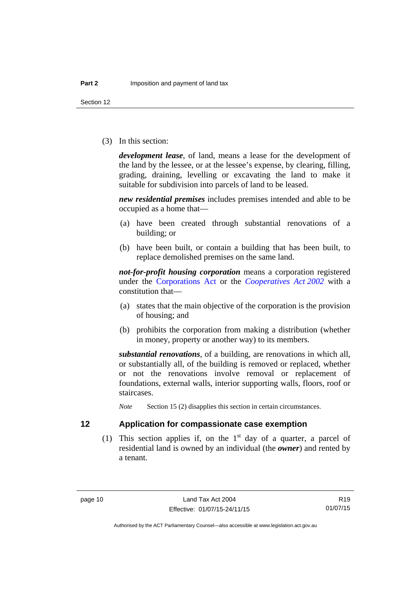Section 12

(3) In this section:

*development lease*, of land, means a lease for the development of the land by the lessee, or at the lessee's expense, by clearing, filling, grading, draining, levelling or excavating the land to make it suitable for subdivision into parcels of land to be leased.

*new residential premises* includes premises intended and able to be occupied as a home that—

- (a) have been created through substantial renovations of a building; or
- (b) have been built, or contain a building that has been built, to replace demolished premises on the same land.

*not-for-profit housing corporation* means a corporation registered under the [Corporations Act](http://www.comlaw.gov.au/Series/C2004A00818) or the *[Cooperatives Act 2002](http://www.legislation.act.gov.au/a/2002-45)* with a constitution that—

- (a) states that the main objective of the corporation is the provision of housing; and
- (b) prohibits the corporation from making a distribution (whether in money, property or another way) to its members.

*substantial renovations*, of a building, are renovations in which all, or substantially all, of the building is removed or replaced, whether or not the renovations involve removal or replacement of foundations, external walls, interior supporting walls, floors, roof or staircases.

*Note* Section 15 (2) disapplies this section in certain circumstances.

<span id="page-15-0"></span>

## **12 Application for compassionate case exemption**

(1) This section applies if, on the  $1<sup>st</sup>$  day of a quarter, a parcel of residential land is owned by an individual (the *owner*) and rented by a tenant.

R19 01/07/15

Authorised by the ACT Parliamentary Counsel—also accessible at www.legislation.act.gov.au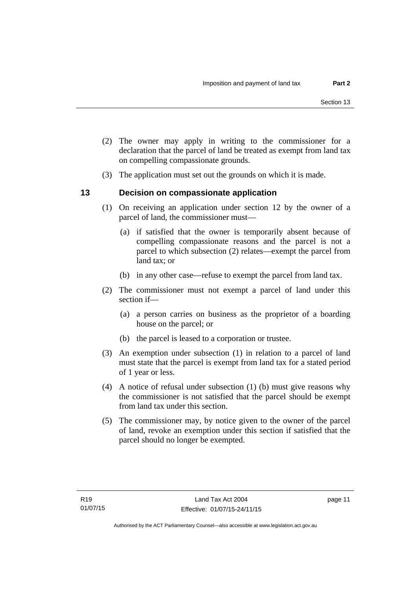- (2) The owner may apply in writing to the commissioner for a declaration that the parcel of land be treated as exempt from land tax on compelling compassionate grounds.
- (3) The application must set out the grounds on which it is made.

## <span id="page-16-0"></span>**13 Decision on compassionate application**

- (1) On receiving an application under section 12 by the owner of a parcel of land, the commissioner must—
	- (a) if satisfied that the owner is temporarily absent because of compelling compassionate reasons and the parcel is not a parcel to which subsection (2) relates—exempt the parcel from land tax; or
	- (b) in any other case—refuse to exempt the parcel from land tax.
- (2) The commissioner must not exempt a parcel of land under this section if—
	- (a) a person carries on business as the proprietor of a boarding house on the parcel; or
	- (b) the parcel is leased to a corporation or trustee.
- (3) An exemption under subsection (1) in relation to a parcel of land must state that the parcel is exempt from land tax for a stated period of 1 year or less.
- (4) A notice of refusal under subsection (1) (b) must give reasons why the commissioner is not satisfied that the parcel should be exempt from land tax under this section.
- (5) The commissioner may, by notice given to the owner of the parcel of land, revoke an exemption under this section if satisfied that the parcel should no longer be exempted.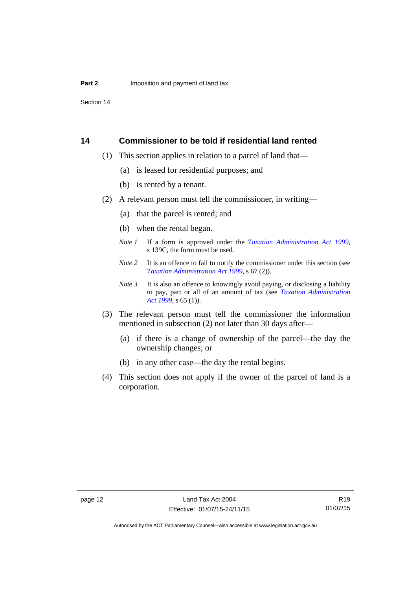Section 14

### <span id="page-17-0"></span>**14 Commissioner to be told if residential land rented**

- (1) This section applies in relation to a parcel of land that—
	- (a) is leased for residential purposes; and
	- (b) is rented by a tenant.
- (2) A relevant person must tell the commissioner, in writing—
	- (a) that the parcel is rented; and
	- (b) when the rental began.
	- *Note 1* If a form is approved under the *[Taxation Administration Act 1999](http://www.legislation.act.gov.au/a/1999-4)*, s 139C, the form must be used.
	- *Note* 2 It is an offence to fail to notify the commissioner under this section (see *[Taxation Administration Act 1999](http://www.legislation.act.gov.au/a/1999-4)*, s 67 (2)).
	- *Note 3* It is also an offence to knowingly avoid paying, or disclosing a liability to pay, part or all of an amount of tax (see *[Taxation Administration](http://www.legislation.act.gov.au/a/1999-4)  [Act 1999](http://www.legislation.act.gov.au/a/1999-4)*, s 65 (1)).
- (3) The relevant person must tell the commissioner the information mentioned in subsection (2) not later than 30 days after—
	- (a) if there is a change of ownership of the parcel—the day the ownership changes; or
	- (b) in any other case—the day the rental begins.
- (4) This section does not apply if the owner of the parcel of land is a corporation.

R19 01/07/15

Authorised by the ACT Parliamentary Counsel—also accessible at www.legislation.act.gov.au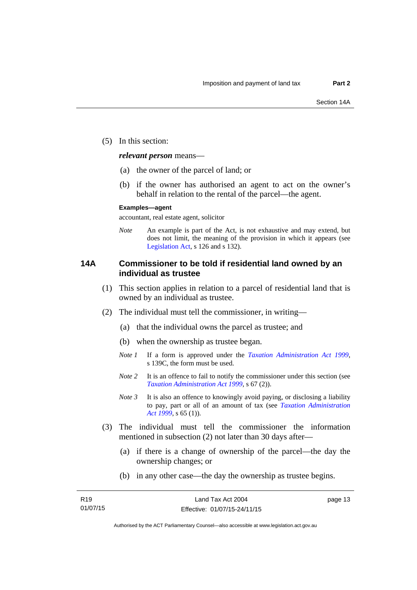(5) In this section:

*relevant person* means—

- (a) the owner of the parcel of land; or
- (b) if the owner has authorised an agent to act on the owner's behalf in relation to the rental of the parcel—the agent.

#### **Examples—agent**

accountant, real estate agent, solicitor

*Note* An example is part of the Act, is not exhaustive and may extend, but does not limit, the meaning of the provision in which it appears (see [Legislation Act,](http://www.legislation.act.gov.au/a/2001-14) s 126 and s 132).

## <span id="page-18-0"></span>**14A Commissioner to be told if residential land owned by an individual as trustee**

- (1) This section applies in relation to a parcel of residential land that is owned by an individual as trustee.
- (2) The individual must tell the commissioner, in writing—
	- (a) that the individual owns the parcel as trustee; and
	- (b) when the ownership as trustee began.
	- *Note 1* If a form is approved under the *[Taxation Administration Act 1999](http://www.legislation.act.gov.au/a/1999-4)*, s 139C, the form must be used.
	- *Note 2* It is an offence to fail to notify the commissioner under this section (see *[Taxation Administration Act 1999](http://www.legislation.act.gov.au/a/1999-4)*, s 67 (2)).
	- *Note* 3 It is also an offence to knowingly avoid paying, or disclosing a liability to pay, part or all of an amount of tax (see *[Taxation Administration](http://www.legislation.act.gov.au/a/1999-4)  [Act 1999](http://www.legislation.act.gov.au/a/1999-4)*, s 65 (1)).
- (3) The individual must tell the commissioner the information mentioned in subsection (2) not later than 30 days after—
	- (a) if there is a change of ownership of the parcel—the day the ownership changes; or
	- (b) in any other case—the day the ownership as trustee begins.

page 13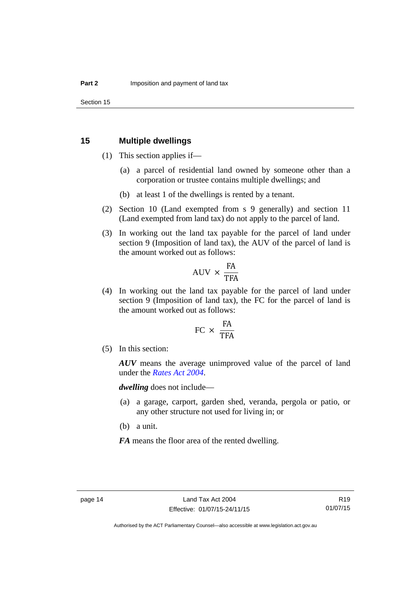## <span id="page-19-0"></span>**15 Multiple dwellings**

- (1) This section applies if—
	- (a) a parcel of residential land owned by someone other than a corporation or trustee contains multiple dwellings; and
	- (b) at least 1 of the dwellings is rented by a tenant.
- (2) Section 10 (Land exempted from s 9 generally) and section 11 (Land exempted from land tax) do not apply to the parcel of land.
- (3) In working out the land tax payable for the parcel of land under section 9 (Imposition of land tax), the AUV of the parcel of land is the amount worked out as follows:

$$
AVV \times \frac{FA}{TFA}
$$

 (4) In working out the land tax payable for the parcel of land under section 9 (Imposition of land tax), the FC for the parcel of land is the amount worked out as follows:

$$
FC \times \frac{FA}{TFA}
$$

(5) In this section:

*AUV* means the average unimproved value of the parcel of land under the *[Rates Act 2004](http://www.legislation.act.gov.au/a/2004-3)*.

*dwelling* does not include—

- (a) a garage, carport, garden shed, veranda, pergola or patio, or any other structure not used for living in; or
- (b) a unit.

*FA* means the floor area of the rented dwelling.

Authorised by the ACT Parliamentary Counsel—also accessible at www.legislation.act.gov.au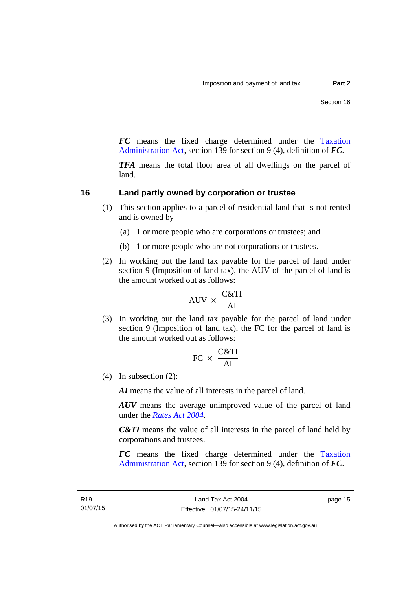*FC* means the fixed charge determined under the [Taxation](http://www.legislation.act.gov.au/a/1999-4/default.asp)  [Administration Act](http://www.legislation.act.gov.au/a/1999-4/default.asp), section 139 for section 9 (4), definition of *FC*.

*TFA* means the total floor area of all dwellings on the parcel of land.

## <span id="page-20-0"></span>**16 Land partly owned by corporation or trustee**

- (1) This section applies to a parcel of residential land that is not rented and is owned by—
	- (a) 1 or more people who are corporations or trustees; and
	- (b) 1 or more people who are not corporations or trustees.
- (2) In working out the land tax payable for the parcel of land under section 9 (Imposition of land tax), the AUV of the parcel of land is the amount worked out as follows:

$$
AUV \times \frac{C&TI}{AI}
$$

 (3) In working out the land tax payable for the parcel of land under section 9 (Imposition of land tax), the FC for the parcel of land is the amount worked out as follows:

$$
FC \times \frac{C&TI}{AI}
$$

(4) In subsection (2):

*AI* means the value of all interests in the parcel of land.

*AUV* means the average unimproved value of the parcel of land under the *[Rates Act 2004](http://www.legislation.act.gov.au/a/2004-3)*.

*C&TI* means the value of all interests in the parcel of land held by corporations and trustees.

*FC* means the fixed charge determined under the [Taxation](http://www.legislation.act.gov.au/a/1999-4/default.asp)  [Administration Act](http://www.legislation.act.gov.au/a/1999-4/default.asp), section 139 for section 9 (4), definition of *FC*.

page 15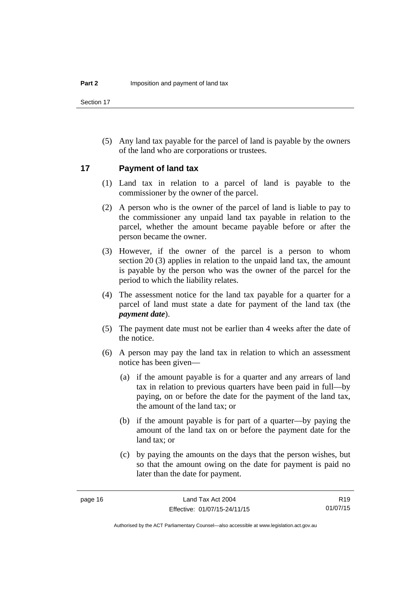Section 17

 (5) Any land tax payable for the parcel of land is payable by the owners of the land who are corporations or trustees.

## <span id="page-21-0"></span>**17 Payment of land tax**

- (1) Land tax in relation to a parcel of land is payable to the commissioner by the owner of the parcel.
- (2) A person who is the owner of the parcel of land is liable to pay to the commissioner any unpaid land tax payable in relation to the parcel, whether the amount became payable before or after the person became the owner.
- (3) However, if the owner of the parcel is a person to whom section 20 (3) applies in relation to the unpaid land tax, the amount is payable by the person who was the owner of the parcel for the period to which the liability relates.
- (4) The assessment notice for the land tax payable for a quarter for a parcel of land must state a date for payment of the land tax (the *payment date*).
- (5) The payment date must not be earlier than 4 weeks after the date of the notice.
- (6) A person may pay the land tax in relation to which an assessment notice has been given—
	- (a) if the amount payable is for a quarter and any arrears of land tax in relation to previous quarters have been paid in full—by paying, on or before the date for the payment of the land tax, the amount of the land tax; or
	- (b) if the amount payable is for part of a quarter—by paying the amount of the land tax on or before the payment date for the land tax; or
	- (c) by paying the amounts on the days that the person wishes, but so that the amount owing on the date for payment is paid no later than the date for payment.

R19 01/07/15

Authorised by the ACT Parliamentary Counsel—also accessible at www.legislation.act.gov.au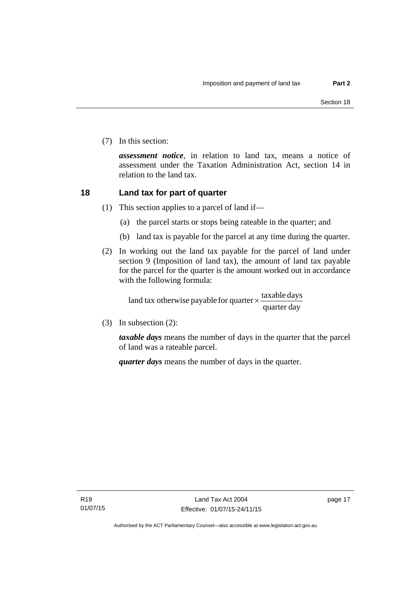(7) In this section:

*assessment notice*, in relation to land tax, means a notice of assessment under the Taxation Administration Act, section 14 in relation to the land tax.

## <span id="page-22-0"></span>**18 Land tax for part of quarter**

- (1) This section applies to a parcel of land if—
	- (a) the parcel starts or stops being rateable in the quarter; and
	- (b) land tax is payable for the parcel at any time during the quarter.
- (2) In working out the land tax payable for the parcel of land under section 9 (Imposition of land tax), the amount of land tax payable for the parcel for the quarter is the amount worked out in accordance with the following formula:

quarter day land tax otherwise payable for quarter  $\times$   $\frac{\text{taxable days}}{\text{days}}$ 

(3) In subsection (2):

*taxable days* means the number of days in the quarter that the parcel of land was a rateable parcel.

*quarter days* means the number of days in the quarter.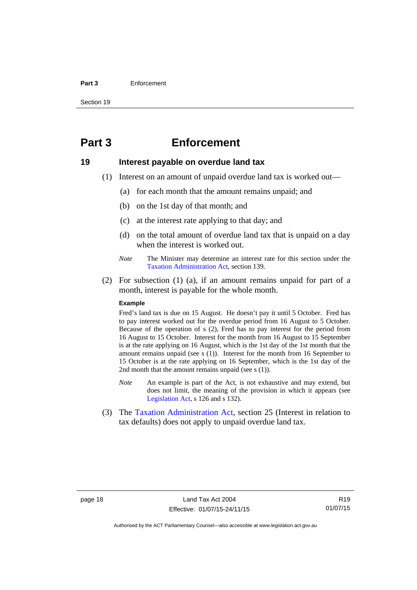#### **Part 3** Enforcement

Section 19

## <span id="page-23-0"></span>**Part 3 Enforcement**

## <span id="page-23-1"></span>**19 Interest payable on overdue land tax**

- (1) Interest on an amount of unpaid overdue land tax is worked out—
	- (a) for each month that the amount remains unpaid; and
	- (b) on the 1st day of that month; and
	- (c) at the interest rate applying to that day; and
	- (d) on the total amount of overdue land tax that is unpaid on a day when the interest is worked out.
	- *Note* The Minister may determine an interest rate for this section under the [Taxation Administration Act,](http://www.legislation.act.gov.au/a/1999-4/default.asp) section 139.
- (2) For subsection (1) (a), if an amount remains unpaid for part of a month, interest is payable for the whole month.

#### **Example**

Fred's land tax is due on 15 August. He doesn't pay it until 5 October. Fred has to pay interest worked out for the overdue period from 16 August to 5 October. Because of the operation of s (2), Fred has to pay interest for the period from 16 August to 15 October. Interest for the month from 16 August to 15 September is at the rate applying on 16 August, which is the 1st day of the 1st month that the amount remains unpaid (see s (1)). Interest for the month from 16 September to 15 October is at the rate applying on 16 September, which is the 1st day of the 2nd month that the amount remains unpaid (see s (1)).

- *Note* An example is part of the Act, is not exhaustive and may extend, but does not limit, the meaning of the provision in which it appears (see [Legislation Act,](http://www.legislation.act.gov.au/a/2001-14) s 126 and s 132).
- (3) The [Taxation Administration Act,](http://www.legislation.act.gov.au/a/1999-4/default.asp) section 25 (Interest in relation to tax defaults) does not apply to unpaid overdue land tax.

R19 01/07/15

Authorised by the ACT Parliamentary Counsel—also accessible at www.legislation.act.gov.au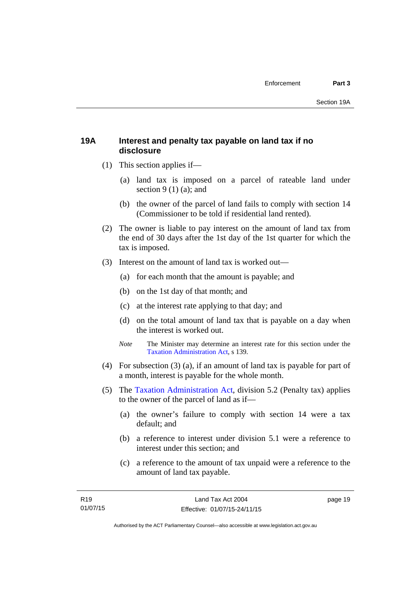## <span id="page-24-0"></span>**19A Interest and penalty tax payable on land tax if no disclosure**

- (1) This section applies if—
	- (a) land tax is imposed on a parcel of rateable land under section  $9(1)(a)$ ; and
	- (b) the owner of the parcel of land fails to comply with section 14 (Commissioner to be told if residential land rented).
- (2) The owner is liable to pay interest on the amount of land tax from the end of 30 days after the 1st day of the 1st quarter for which the tax is imposed.
- (3) Interest on the amount of land tax is worked out—
	- (a) for each month that the amount is payable; and
	- (b) on the 1st day of that month; and
	- (c) at the interest rate applying to that day; and
	- (d) on the total amount of land tax that is payable on a day when the interest is worked out.
	- *Note* The Minister may determine an interest rate for this section under the [Taxation Administration Act,](http://www.legislation.act.gov.au/a/1999-4/default.asp) s 139.
- (4) For subsection (3) (a), if an amount of land tax is payable for part of a month, interest is payable for the whole month.
- (5) The [Taxation Administration Act,](http://www.legislation.act.gov.au/a/1999-4/default.asp) division 5.2 (Penalty tax) applies to the owner of the parcel of land as if—
	- (a) the owner's failure to comply with section 14 were a tax default; and
	- (b) a reference to interest under division 5.1 were a reference to interest under this section; and
	- (c) a reference to the amount of tax unpaid were a reference to the amount of land tax payable.

page 19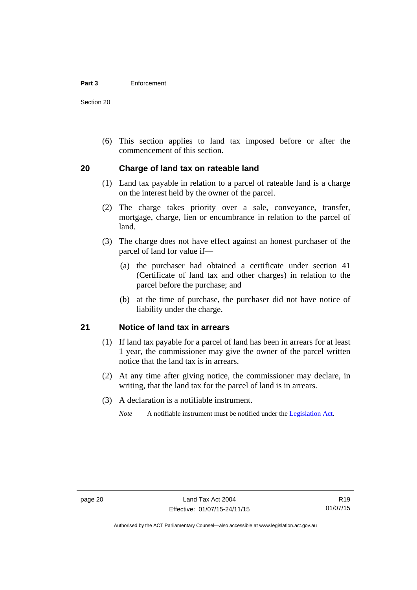#### **Part 3** Enforcement

Section 20

 (6) This section applies to land tax imposed before or after the commencement of this section.

## <span id="page-25-0"></span>**20 Charge of land tax on rateable land**

- (1) Land tax payable in relation to a parcel of rateable land is a charge on the interest held by the owner of the parcel.
- (2) The charge takes priority over a sale, conveyance, transfer, mortgage, charge, lien or encumbrance in relation to the parcel of land.
- (3) The charge does not have effect against an honest purchaser of the parcel of land for value if—
	- (a) the purchaser had obtained a certificate under section 41 (Certificate of land tax and other charges) in relation to the parcel before the purchase; and
	- (b) at the time of purchase, the purchaser did not have notice of liability under the charge.

## <span id="page-25-1"></span>**21 Notice of land tax in arrears**

- (1) If land tax payable for a parcel of land has been in arrears for at least 1 year, the commissioner may give the owner of the parcel written notice that the land tax is in arrears.
- (2) At any time after giving notice, the commissioner may declare, in writing, that the land tax for the parcel of land is in arrears.
- (3) A declaration is a notifiable instrument.

*Note* A notifiable instrument must be notified under the [Legislation Act](http://www.legislation.act.gov.au/a/2001-14).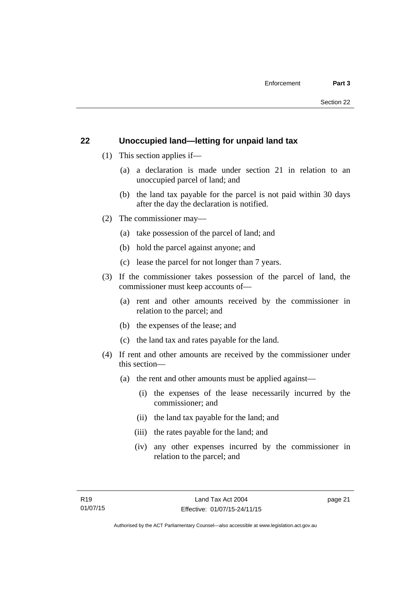## <span id="page-26-0"></span>**22 Unoccupied land—letting for unpaid land tax**

- (1) This section applies if—
	- (a) a declaration is made under section 21 in relation to an unoccupied parcel of land; and
	- (b) the land tax payable for the parcel is not paid within 30 days after the day the declaration is notified.
- (2) The commissioner may—
	- (a) take possession of the parcel of land; and
	- (b) hold the parcel against anyone; and
	- (c) lease the parcel for not longer than 7 years.
- (3) If the commissioner takes possession of the parcel of land, the commissioner must keep accounts of—
	- (a) rent and other amounts received by the commissioner in relation to the parcel; and
	- (b) the expenses of the lease; and
	- (c) the land tax and rates payable for the land.
- (4) If rent and other amounts are received by the commissioner under this section—
	- (a) the rent and other amounts must be applied against—
		- (i) the expenses of the lease necessarily incurred by the commissioner; and
		- (ii) the land tax payable for the land; and
		- (iii) the rates payable for the land; and
		- (iv) any other expenses incurred by the commissioner in relation to the parcel; and

page 21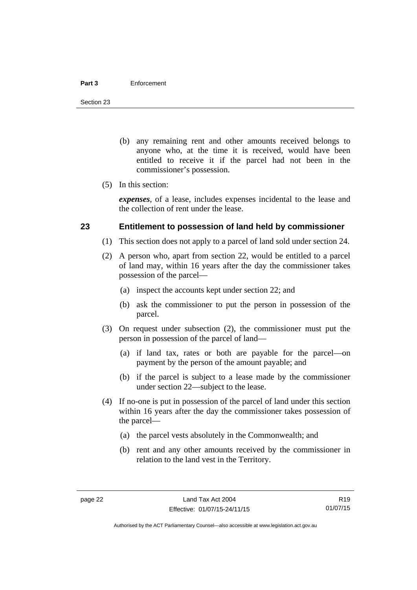#### **Part 3** Enforcement

Section 23

- (b) any remaining rent and other amounts received belongs to anyone who, at the time it is received, would have been entitled to receive it if the parcel had not been in the commissioner's possession.
- (5) In this section:

*expenses*, of a lease, includes expenses incidental to the lease and the collection of rent under the lease.

## <span id="page-27-0"></span>**23 Entitlement to possession of land held by commissioner**

- (1) This section does not apply to a parcel of land sold under section 24.
- (2) A person who, apart from section 22, would be entitled to a parcel of land may, within 16 years after the day the commissioner takes possession of the parcel—
	- (a) inspect the accounts kept under section 22; and
	- (b) ask the commissioner to put the person in possession of the parcel.
- (3) On request under subsection (2), the commissioner must put the person in possession of the parcel of land—
	- (a) if land tax, rates or both are payable for the parcel—on payment by the person of the amount payable; and
	- (b) if the parcel is subject to a lease made by the commissioner under section 22—subject to the lease.
- (4) If no-one is put in possession of the parcel of land under this section within 16 years after the day the commissioner takes possession of the parcel—
	- (a) the parcel vests absolutely in the Commonwealth; and
	- (b) rent and any other amounts received by the commissioner in relation to the land vest in the Territory.

R19 01/07/15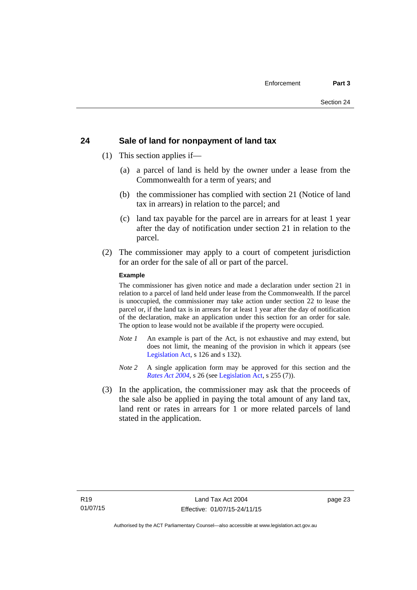## <span id="page-28-0"></span>**24 Sale of land for nonpayment of land tax**

- (1) This section applies if—
	- (a) a parcel of land is held by the owner under a lease from the Commonwealth for a term of years; and
	- (b) the commissioner has complied with section 21 (Notice of land tax in arrears) in relation to the parcel; and
	- (c) land tax payable for the parcel are in arrears for at least 1 year after the day of notification under section 21 in relation to the parcel.
- (2) The commissioner may apply to a court of competent jurisdiction for an order for the sale of all or part of the parcel.

#### **Example**

The commissioner has given notice and made a declaration under section 21 in relation to a parcel of land held under lease from the Commonwealth. If the parcel is unoccupied, the commissioner may take action under section 22 to lease the parcel or, if the land tax is in arrears for at least 1 year after the day of notification of the declaration, make an application under this section for an order for sale. The option to lease would not be available if the property were occupied.

- *Note 1* An example is part of the Act, is not exhaustive and may extend, but does not limit, the meaning of the provision in which it appears (see [Legislation Act,](http://www.legislation.act.gov.au/a/2001-14) s 126 and s 132).
- *Note* 2 A single application form may be approved for this section and the *[Rates Act 2004](http://www.legislation.act.gov.au/a/2004-3)*, s 26 (see [Legislation Act,](http://www.legislation.act.gov.au/a/2001-14) s 255 (7)).
- (3) In the application, the commissioner may ask that the proceeds of the sale also be applied in paying the total amount of any land tax, land rent or rates in arrears for 1 or more related parcels of land stated in the application.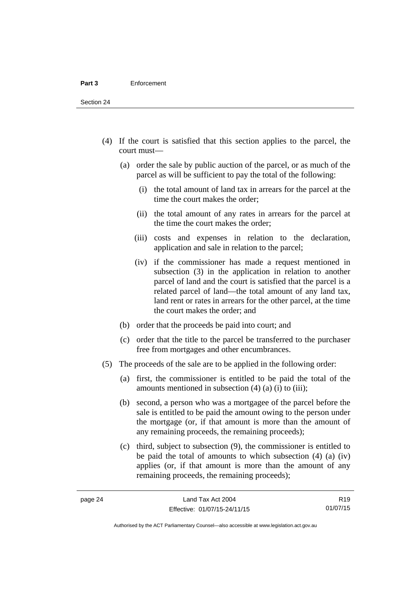Section 24

- (4) If the court is satisfied that this section applies to the parcel, the court must—
	- (a) order the sale by public auction of the parcel, or as much of the parcel as will be sufficient to pay the total of the following:
		- (i) the total amount of land tax in arrears for the parcel at the time the court makes the order;
		- (ii) the total amount of any rates in arrears for the parcel at the time the court makes the order;
		- (iii) costs and expenses in relation to the declaration, application and sale in relation to the parcel;
		- (iv) if the commissioner has made a request mentioned in subsection (3) in the application in relation to another parcel of land and the court is satisfied that the parcel is a related parcel of land—the total amount of any land tax, land rent or rates in arrears for the other parcel, at the time the court makes the order; and
	- (b) order that the proceeds be paid into court; and
	- (c) order that the title to the parcel be transferred to the purchaser free from mortgages and other encumbrances.
- (5) The proceeds of the sale are to be applied in the following order:
	- (a) first, the commissioner is entitled to be paid the total of the amounts mentioned in subsection  $(4)$   $(a)$   $(i)$  to  $(iii)$ ;
	- (b) second, a person who was a mortgagee of the parcel before the sale is entitled to be paid the amount owing to the person under the mortgage (or, if that amount is more than the amount of any remaining proceeds, the remaining proceeds);
	- (c) third, subject to subsection (9), the commissioner is entitled to be paid the total of amounts to which subsection (4) (a) (iv) applies (or, if that amount is more than the amount of any remaining proceeds, the remaining proceeds);

R19 01/07/15

Authorised by the ACT Parliamentary Counsel—also accessible at www.legislation.act.gov.au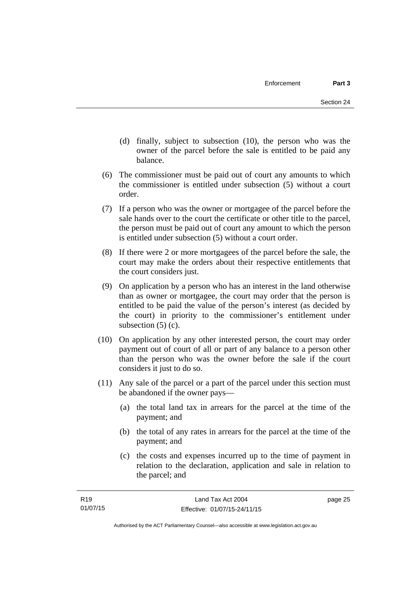- (d) finally, subject to subsection (10), the person who was the owner of the parcel before the sale is entitled to be paid any balance.
- (6) The commissioner must be paid out of court any amounts to which the commissioner is entitled under subsection (5) without a court order.
- (7) If a person who was the owner or mortgagee of the parcel before the sale hands over to the court the certificate or other title to the parcel, the person must be paid out of court any amount to which the person is entitled under subsection (5) without a court order.
- (8) If there were 2 or more mortgagees of the parcel before the sale, the court may make the orders about their respective entitlements that the court considers just.
- (9) On application by a person who has an interest in the land otherwise than as owner or mortgagee, the court may order that the person is entitled to be paid the value of the person's interest (as decided by the court) in priority to the commissioner's entitlement under subsection  $(5)$  (c).
- (10) On application by any other interested person, the court may order payment out of court of all or part of any balance to a person other than the person who was the owner before the sale if the court considers it just to do so.
- (11) Any sale of the parcel or a part of the parcel under this section must be abandoned if the owner pays—
	- (a) the total land tax in arrears for the parcel at the time of the payment; and
	- (b) the total of any rates in arrears for the parcel at the time of the payment; and
	- (c) the costs and expenses incurred up to the time of payment in relation to the declaration, application and sale in relation to the parcel; and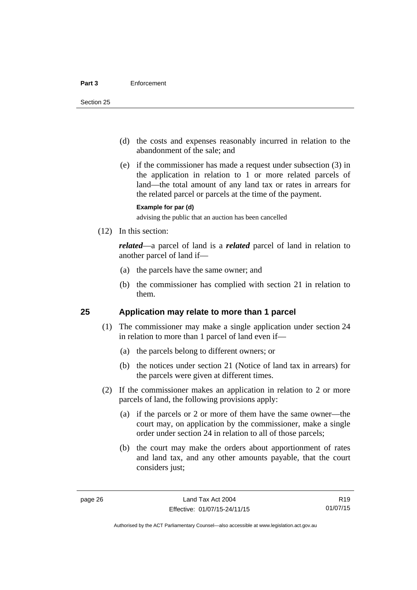- (d) the costs and expenses reasonably incurred in relation to the abandonment of the sale; and
- (e) if the commissioner has made a request under subsection (3) in the application in relation to 1 or more related parcels of land—the total amount of any land tax or rates in arrears for the related parcel or parcels at the time of the payment.

#### **Example for par (d)**

advising the public that an auction has been cancelled

(12) In this section:

*related*—a parcel of land is a *related* parcel of land in relation to another parcel of land if—

- (a) the parcels have the same owner; and
- (b) the commissioner has complied with section 21 in relation to them.

## <span id="page-31-0"></span>**25 Application may relate to more than 1 parcel**

- (1) The commissioner may make a single application under section 24 in relation to more than 1 parcel of land even if—
	- (a) the parcels belong to different owners; or
	- (b) the notices under section 21 (Notice of land tax in arrears) for the parcels were given at different times.
- (2) If the commissioner makes an application in relation to 2 or more parcels of land, the following provisions apply:
	- (a) if the parcels or 2 or more of them have the same owner—the court may, on application by the commissioner, make a single order under section 24 in relation to all of those parcels;
	- (b) the court may make the orders about apportionment of rates and land tax, and any other amounts payable, that the court considers just;

R19 01/07/15

Authorised by the ACT Parliamentary Counsel—also accessible at www.legislation.act.gov.au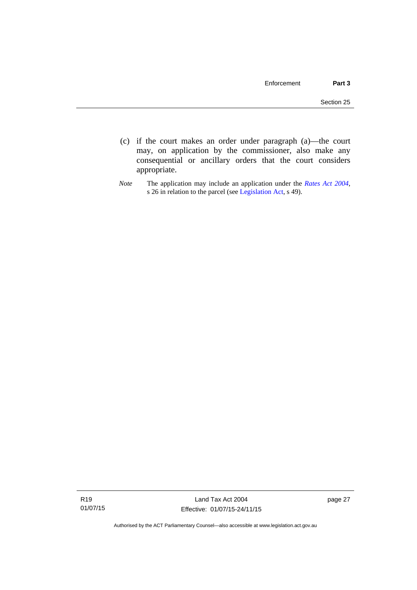- (c) if the court makes an order under paragraph (a)—the court may, on application by the commissioner, also make any consequential or ancillary orders that the court considers appropriate.
- *Note* The application may include an application under the *[Rates Act 2004](http://www.legislation.act.gov.au/a/2004-3)*, s 26 in relation to the parcel (see [Legislation Act,](http://www.legislation.act.gov.au/a/2001-14) s 49).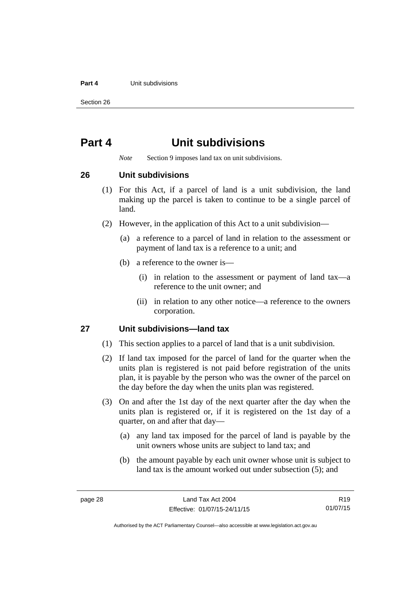#### **Part 4 Unit subdivisions**

Section 26

## <span id="page-33-0"></span>**Part 4 Unit subdivisions**

*Note* Section 9 imposes land tax on unit subdivisions.

<span id="page-33-1"></span>**26 Unit subdivisions** 

- (1) For this Act, if a parcel of land is a unit subdivision, the land making up the parcel is taken to continue to be a single parcel of land.
- (2) However, in the application of this Act to a unit subdivision—
	- (a) a reference to a parcel of land in relation to the assessment or payment of land tax is a reference to a unit; and
	- (b) a reference to the owner is—
		- (i) in relation to the assessment or payment of land tax—a reference to the unit owner; and
		- (ii) in relation to any other notice—a reference to the owners corporation.

## <span id="page-33-2"></span>**27 Unit subdivisions—land tax**

- (1) This section applies to a parcel of land that is a unit subdivision.
- (2) If land tax imposed for the parcel of land for the quarter when the units plan is registered is not paid before registration of the units plan, it is payable by the person who was the owner of the parcel on the day before the day when the units plan was registered.
- (3) On and after the 1st day of the next quarter after the day when the units plan is registered or, if it is registered on the 1st day of a quarter, on and after that day—
	- (a) any land tax imposed for the parcel of land is payable by the unit owners whose units are subject to land tax; and
	- (b) the amount payable by each unit owner whose unit is subject to land tax is the amount worked out under subsection (5); and

R19 01/07/15

Authorised by the ACT Parliamentary Counsel—also accessible at www.legislation.act.gov.au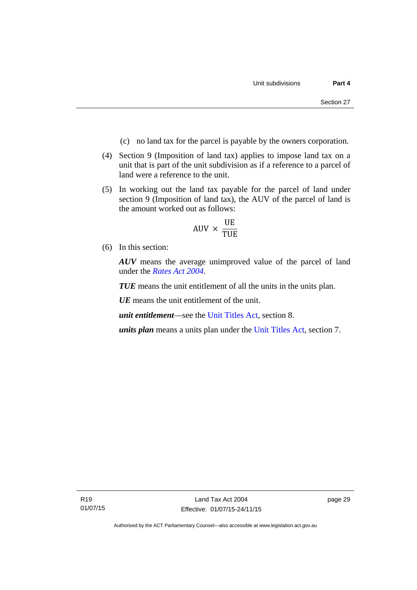- (c) no land tax for the parcel is payable by the owners corporation.
- (4) Section 9 (Imposition of land tax) applies to impose land tax on a unit that is part of the unit subdivision as if a reference to a parcel of land were a reference to the unit.
- (5) In working out the land tax payable for the parcel of land under section 9 (Imposition of land tax), the AUV of the parcel of land is the amount worked out as follows:

$$
AUV \times \frac{UE}{TUE}
$$

(6) In this section:

*AUV* means the average unimproved value of the parcel of land under the *[Rates Act 2004](http://www.legislation.act.gov.au/a/2004-3)*.

*TUE* means the unit entitlement of all the units in the units plan.

*UE* means the unit entitlement of the unit.

*unit entitlement*—see the [Unit Titles Act](http://www.legislation.act.gov.au/a/2001-16/default.asp), section 8.

*units plan* means a units plan under the [Unit Titles Act,](http://www.legislation.act.gov.au/a/2001-16/default.asp) section 7.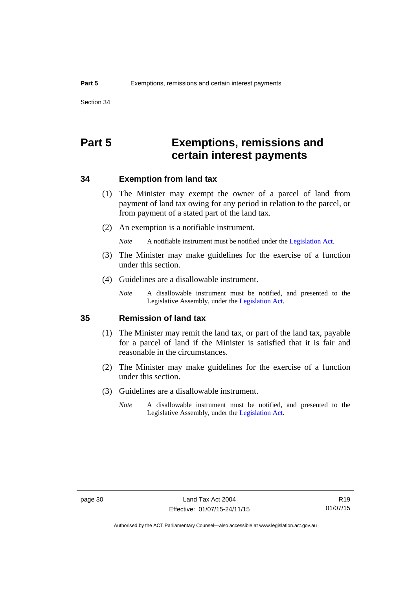## <span id="page-35-0"></span>**Part 5 Exemptions, remissions and certain interest payments**

### <span id="page-35-1"></span>**34 Exemption from land tax**

- (1) The Minister may exempt the owner of a parcel of land from payment of land tax owing for any period in relation to the parcel, or from payment of a stated part of the land tax.
- (2) An exemption is a notifiable instrument.

*Note* A notifiable instrument must be notified under the [Legislation Act](http://www.legislation.act.gov.au/a/2001-14).

- (3) The Minister may make guidelines for the exercise of a function under this section.
- (4) Guidelines are a disallowable instrument.
	- *Note* A disallowable instrument must be notified, and presented to the Legislative Assembly, under the [Legislation Act.](http://www.legislation.act.gov.au/a/2001-14)

### <span id="page-35-2"></span>**35 Remission of land tax**

- (1) The Minister may remit the land tax, or part of the land tax, payable for a parcel of land if the Minister is satisfied that it is fair and reasonable in the circumstances.
- (2) The Minister may make guidelines for the exercise of a function under this section.
- (3) Guidelines are a disallowable instrument.
	- *Note* A disallowable instrument must be notified, and presented to the Legislative Assembly, under the [Legislation Act.](http://www.legislation.act.gov.au/a/2001-14)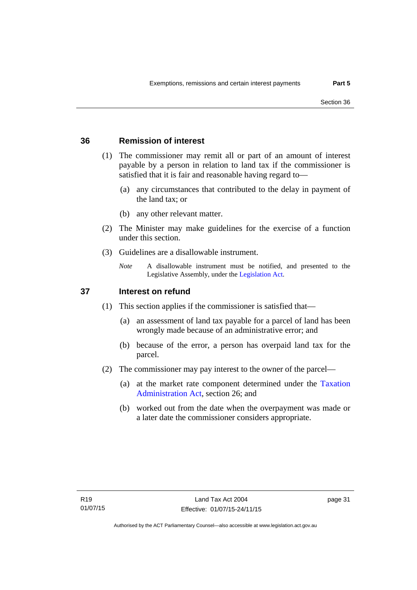## <span id="page-36-0"></span>**36 Remission of interest**

- (1) The commissioner may remit all or part of an amount of interest payable by a person in relation to land tax if the commissioner is satisfied that it is fair and reasonable having regard to—
	- (a) any circumstances that contributed to the delay in payment of the land tax; or
	- (b) any other relevant matter.
- (2) The Minister may make guidelines for the exercise of a function under this section.
- (3) Guidelines are a disallowable instrument.
	- *Note* A disallowable instrument must be notified, and presented to the Legislative Assembly, under the [Legislation Act.](http://www.legislation.act.gov.au/a/2001-14)

## <span id="page-36-1"></span>**37 Interest on refund**

- (1) This section applies if the commissioner is satisfied that—
	- (a) an assessment of land tax payable for a parcel of land has been wrongly made because of an administrative error; and
	- (b) because of the error, a person has overpaid land tax for the parcel.
- (2) The commissioner may pay interest to the owner of the parcel—
	- (a) at the market rate component determined under the [Taxation](http://www.legislation.act.gov.au/a/1999-4/default.asp)  [Administration Act](http://www.legislation.act.gov.au/a/1999-4/default.asp), section 26; and
	- (b) worked out from the date when the overpayment was made or a later date the commissioner considers appropriate.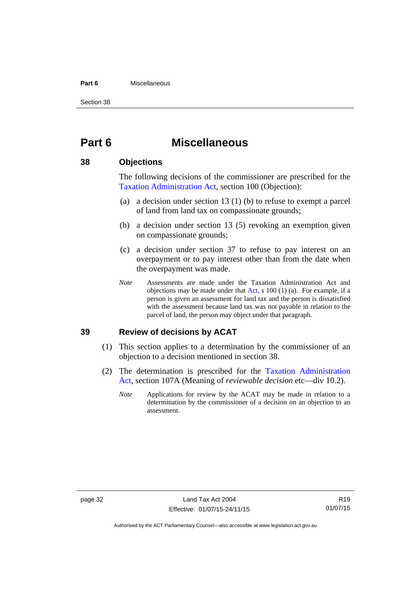#### **Part 6** Miscellaneous

Section 38

## <span id="page-37-0"></span>**Part 6 Miscellaneous**

## <span id="page-37-1"></span>**38 Objections**

The following decisions of the commissioner are prescribed for the [Taxation Administration Act,](http://www.legislation.act.gov.au/a/1999-4/default.asp) section 100 (Objection):

- (a) a decision under section 13 (1) (b) to refuse to exempt a parcel of land from land tax on compassionate grounds;
- (b) a decision under section 13 (5) revoking an exemption given on compassionate grounds;
- (c) a decision under section 37 to refuse to pay interest on an overpayment or to pay interest other than from the date when the overpayment was made.
- *Note* Assessments are made under the Taxation Administration Act and objections may be made under that [Act](http://www.legislation.act.gov.au/a/1999-4/default.asp), s 100 (1) (a). For example, if a person is given an assessment for land tax and the person is dissatisfied with the assessment because land tax was not payable in relation to the parcel of land, the person may object under that paragraph.

### <span id="page-37-2"></span>**39 Review of decisions by ACAT**

- (1) This section applies to a determination by the commissioner of an objection to a decision mentioned in section 38.
- (2) The determination is prescribed for the [Taxation Administration](http://www.legislation.act.gov.au/a/1999-4/default.asp)  [Act](http://www.legislation.act.gov.au/a/1999-4/default.asp), section 107A (Meaning of *reviewable decision* etc—div 10.2).
	- *Note* Applications for review by the ACAT may be made in relation to a determination by the commissioner of a decision on an objection to an assessment.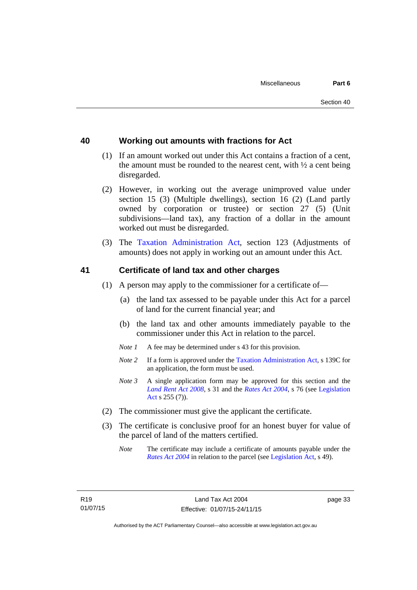## <span id="page-38-0"></span>**40 Working out amounts with fractions for Act**

- (1) If an amount worked out under this Act contains a fraction of a cent, the amount must be rounded to the nearest cent, with  $\frac{1}{2}$  a cent being disregarded.
- (2) However, in working out the average unimproved value under section 15 (3) (Multiple dwellings), section 16 (2) (Land partly owned by corporation or trustee) or section 27 (5) (Unit subdivisions—land tax), any fraction of a dollar in the amount worked out must be disregarded.
- (3) The [Taxation Administration Act,](http://www.legislation.act.gov.au/a/1999-4/default.asp) section 123 (Adjustments of amounts) does not apply in working out an amount under this Act.

## <span id="page-38-1"></span>**41 Certificate of land tax and other charges**

- (1) A person may apply to the commissioner for a certificate of—
	- (a) the land tax assessed to be payable under this Act for a parcel of land for the current financial year; and
	- (b) the land tax and other amounts immediately payable to the commissioner under this Act in relation to the parcel.
	- *Note 1* A fee may be determined under s 43 for this provision.
	- *Note 2* If a form is approved under the [Taxation Administration Act](http://www.legislation.act.gov.au/a/1999-4/default.asp), s 139C for an application, the form must be used.
	- *Note 3* A single application form may be approved for this section and the *[Land Rent Act 2008](http://www.legislation.act.gov.au/a/2008-16)*, s 31 and the *[Rates Act 2004](http://www.legislation.act.gov.au/a/2004-3)*, s 76 (see [Legislation](http://www.legislation.act.gov.au/a/2001-14)  [Act](http://www.legislation.act.gov.au/a/2001-14) s 255 (7)).
- (2) The commissioner must give the applicant the certificate.
- (3) The certificate is conclusive proof for an honest buyer for value of the parcel of land of the matters certified.
	- *Note* The certificate may include a certificate of amounts payable under the *[Rates Act 2004](http://www.legislation.act.gov.au/a/2004-3)* in relation to the parcel (see [Legislation Act,](http://www.legislation.act.gov.au/a/2001-14) s 49).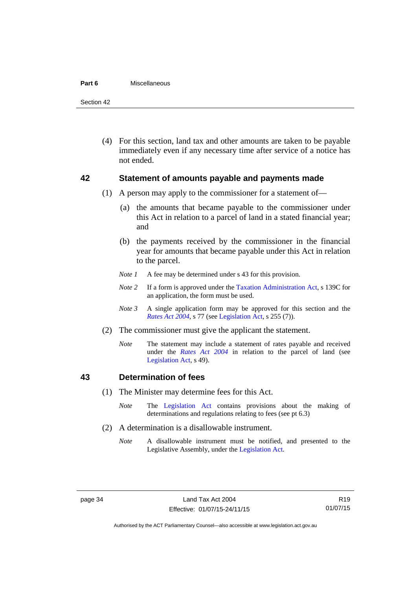#### **Part 6** Miscellaneous

Section 42

 (4) For this section, land tax and other amounts are taken to be payable immediately even if any necessary time after service of a notice has not ended.

### <span id="page-39-0"></span>**42 Statement of amounts payable and payments made**

- (1) A person may apply to the commissioner for a statement of—
	- (a) the amounts that became payable to the commissioner under this Act in relation to a parcel of land in a stated financial year; and
	- (b) the payments received by the commissioner in the financial year for amounts that became payable under this Act in relation to the parcel.
	- *Note 1* A fee may be determined under s 43 for this provision.
	- *Note 2* If a form is approved under the [Taxation Administration Act](http://www.legislation.act.gov.au/a/1999-4/default.asp), s 139C for an application, the form must be used.
	- *Note 3* A single application form may be approved for this section and the *[Rates Act 2004](http://www.legislation.act.gov.au/a/2004-3)*, s 77 (see [Legislation Act,](http://www.legislation.act.gov.au/a/2001-14) s 255 (7)).
- (2) The commissioner must give the applicant the statement.
	- *Note* The statement may include a statement of rates payable and received under the *[Rates Act 2004](http://www.legislation.act.gov.au/a/2004-3)* in relation to the parcel of land (see [Legislation Act,](http://www.legislation.act.gov.au/a/2001-14) s 49).

### <span id="page-39-1"></span>**43 Determination of fees**

- (1) The Minister may determine fees for this Act.
	- *Note* The [Legislation Act](http://www.legislation.act.gov.au/a/2001-14) contains provisions about the making of determinations and regulations relating to fees (see pt 6.3)
- (2) A determination is a disallowable instrument.
	- *Note* A disallowable instrument must be notified, and presented to the Legislative Assembly, under the [Legislation Act.](http://www.legislation.act.gov.au/a/2001-14)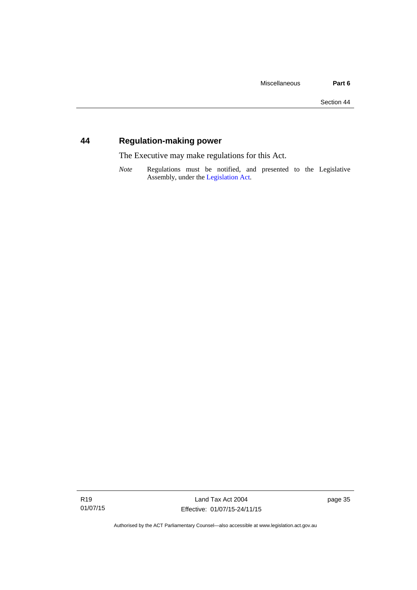## <span id="page-40-0"></span>**44 Regulation-making power**

The Executive may make regulations for this Act.

*Note* Regulations must be notified, and presented to the Legislative Assembly, under the [Legislation Act](http://www.legislation.act.gov.au/a/2001-14).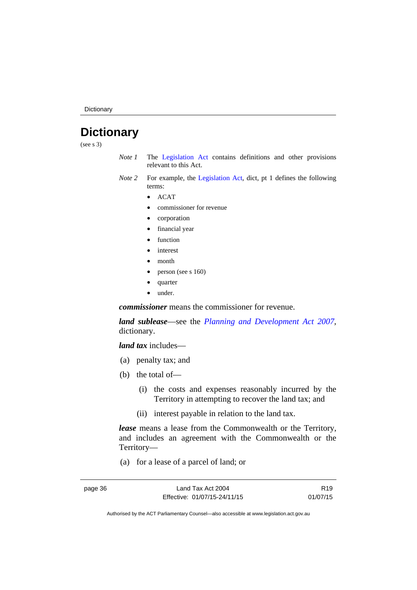**Dictionary** 

## <span id="page-41-0"></span>**Dictionary**

(see s 3)

- *Note 1* The [Legislation Act](http://www.legislation.act.gov.au/a/2001-14) contains definitions and other provisions relevant to this Act.
- *Note 2* For example, the [Legislation Act](http://www.legislation.act.gov.au/a/2001-14), dict, pt 1 defines the following terms:
	- ACAT
	- commissioner for revenue
	- corporation
	- financial year
	- function
	- interest
	- month
	- person (see s 160)
	- quarter
	- under.

*commissioner* means the commissioner for revenue.

*land sublease*—see the *[Planning and Development Act 2007](http://www.legislation.act.gov.au/a/2007-24)*, dictionary.

*land tax* includes—

- (a) penalty tax; and
- (b) the total of—
	- (i) the costs and expenses reasonably incurred by the Territory in attempting to recover the land tax; and
	- (ii) interest payable in relation to the land tax.

*lease* means a lease from the Commonwealth or the Territory, and includes an agreement with the Commonwealth or the Territory—

(a) for a lease of a parcel of land; or

page 36 Land Tax Act 2004 Effective: 01/07/15-24/11/15

R19 01/07/15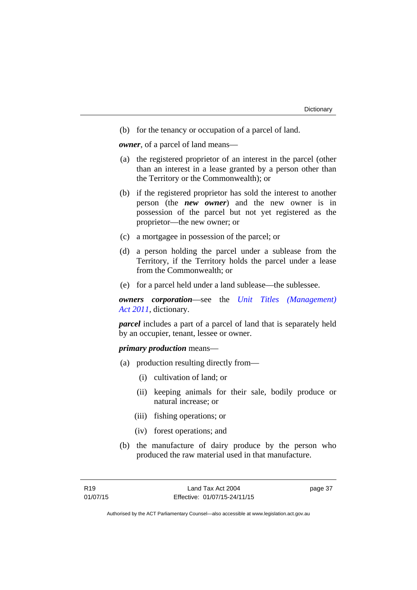(b) for the tenancy or occupation of a parcel of land.

*owner*, of a parcel of land means—

- (a) the registered proprietor of an interest in the parcel (other than an interest in a lease granted by a person other than the Territory or the Commonwealth); or
- (b) if the registered proprietor has sold the interest to another person (the *new owner*) and the new owner is in possession of the parcel but not yet registered as the proprietor—the new owner; or
- (c) a mortgagee in possession of the parcel; or
- (d) a person holding the parcel under a sublease from the Territory, if the Territory holds the parcel under a lease from the Commonwealth; or
- (e) for a parcel held under a land sublease—the sublessee.

*owners corporation*—see the *[Unit Titles \(Management\)](http://www.legislation.act.gov.au/a/2011-41)  [Act 2011](http://www.legislation.act.gov.au/a/2011-41)*, dictionary.

*parcel* includes a part of a parcel of land that is separately held by an occupier, tenant, lessee or owner.

#### *primary production* means—

- (a) production resulting directly from—
	- (i) cultivation of land; or
	- (ii) keeping animals for their sale, bodily produce or natural increase; or
	- (iii) fishing operations; or
	- (iv) forest operations; and
- (b) the manufacture of dairy produce by the person who produced the raw material used in that manufacture.

page 37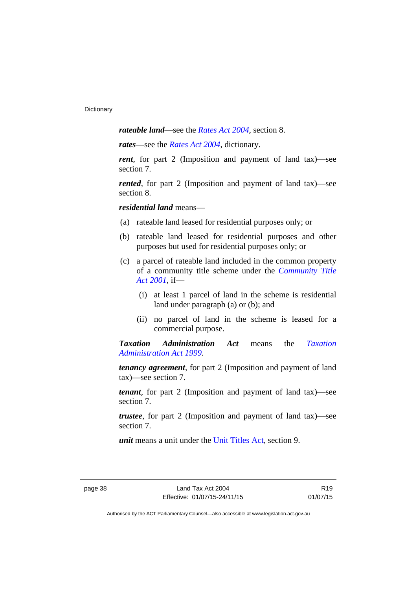*rateable land*—see the *[Rates Act 2004](http://www.legislation.act.gov.au/a/2004-3)*, section 8.

*rates*—see the *[Rates Act 2004](http://www.legislation.act.gov.au/a/2004-3)*, dictionary.

*rent*, for part 2 (Imposition and payment of land tax)—see section 7.

*rented*, for part 2 (Imposition and payment of land tax)—see section 8.

*residential land* means—

- (a) rateable land leased for residential purposes only; or
- (b) rateable land leased for residential purposes and other purposes but used for residential purposes only; or
- (c) a parcel of rateable land included in the common property of a community title scheme under the *[Community Title](http://www.legislation.act.gov.au/a/2001-58)  [Act 2001](http://www.legislation.act.gov.au/a/2001-58)*, if—
	- (i) at least 1 parcel of land in the scheme is residential land under paragraph (a) or (b); and
	- (ii) no parcel of land in the scheme is leased for a commercial purpose.

*Taxation Administration Act* means the *[Taxation](http://www.legislation.act.gov.au/a/1999-4)  [Administration Act 1999](http://www.legislation.act.gov.au/a/1999-4)*.

*tenancy agreement*, for part 2 (Imposition and payment of land tax)—see section 7.

*tenant*, for part 2 (Imposition and payment of land tax)—see section 7.

*trustee*, for part 2 (Imposition and payment of land tax)—see section 7.

*unit* means a unit under the [Unit Titles Act,](http://www.legislation.act.gov.au/a/2001-16/default.asp) section 9.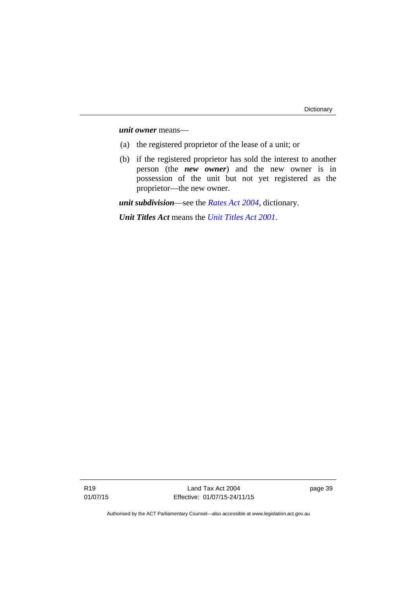*unit owner* means—

- (a) the registered proprietor of the lease of a unit; or
- (b) if the registered proprietor has sold the interest to another person (the *new owner*) and the new owner is in possession of the unit but not yet registered as the proprietor—the new owner.

*unit subdivision*—see the *[Rates Act 2004](http://www.legislation.act.gov.au/a/2004-3)*, dictionary.

*Unit Titles Act* means the *[Unit Titles Act 2001](http://www.legislation.act.gov.au/a/2001-16)*.

Land Tax Act 2004 Effective: 01/07/15-24/11/15 page 39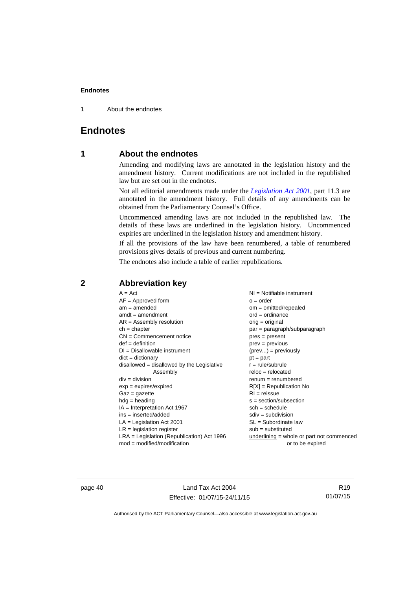1 About the endnotes

## <span id="page-45-0"></span>**Endnotes**

## **1 About the endnotes**

Amending and modifying laws are annotated in the legislation history and the amendment history. Current modifications are not included in the republished law but are set out in the endnotes.

Not all editorial amendments made under the *[Legislation Act 2001](http://www.legislation.act.gov.au/a/2001-14)*, part 11.3 are annotated in the amendment history. Full details of any amendments can be obtained from the Parliamentary Counsel's Office.

Uncommenced amending laws are not included in the republished law. The details of these laws are underlined in the legislation history. Uncommenced expiries are underlined in the legislation history and amendment history.

If all the provisions of the law have been renumbered, a table of renumbered provisions gives details of previous and current numbering.

The endnotes also include a table of earlier republications.

| $A = Act$<br>$AF =$ Approved form<br>$am = amended$<br>$amdt = amendment$<br>$AR = Assembly resolution$<br>$ch = chapter$<br>$CN =$ Commencement notice<br>$def = definition$<br>$DI = Disallowable instrument$<br>$dict = dictionary$<br>disallowed = disallowed by the Legislative<br>Assembly | $NI =$ Notifiable instrument<br>$o = order$<br>$om = omitted/repealed$<br>$ord = ordinance$<br>orig = original<br>par = paragraph/subparagraph<br>$pres = present$<br>$prev = previous$<br>$(\text{prev}) = \text{previously}$<br>$pt = part$<br>$r = rule/subrule$ |
|--------------------------------------------------------------------------------------------------------------------------------------------------------------------------------------------------------------------------------------------------------------------------------------------------|---------------------------------------------------------------------------------------------------------------------------------------------------------------------------------------------------------------------------------------------------------------------|
| $div = division$<br>$exp = expires/expired$<br>$Gaz = gazette$<br>$hdg =$ heading<br>$IA = Interpretation Act 1967$<br>$ins = inserted/added$<br>$LA =$ Legislation Act 2001                                                                                                                     | $reloc = relocated$<br>$renum = renumbered$<br>$R[X]$ = Republication No<br>$RI = reissue$<br>s = section/subsection<br>$sch = schedule$<br>$sdiv = subdivision$<br>$SL = Subordinate$ law                                                                          |
| $LR =$ legislation register                                                                                                                                                                                                                                                                      | $sub =$ substituted                                                                                                                                                                                                                                                 |
| $LRA =$ Legislation (Republication) Act 1996<br>$mod = modified/modification$                                                                                                                                                                                                                    | $underlining = whole or part not commenced$<br>or to be expired                                                                                                                                                                                                     |

## <span id="page-45-2"></span>**2 Abbreviation key**

page 40 Land Tax Act 2004 Effective: 01/07/15-24/11/15

R19 01/07/15

<span id="page-45-1"></span>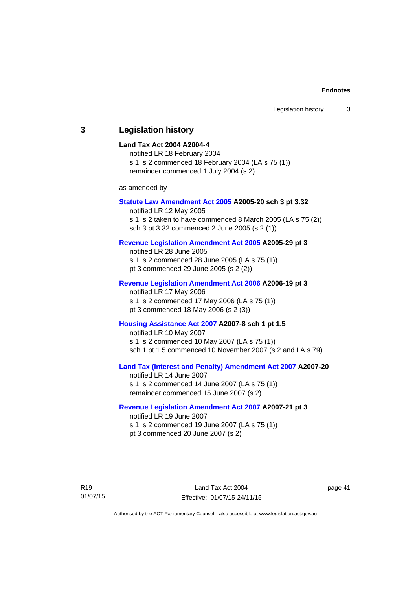### <span id="page-46-0"></span>**3 Legislation history**

#### **Land Tax Act 2004 A2004-4**

notified LR 18 February 2004 s 1, s 2 commenced 18 February 2004 (LA s 75 (1)) remainder commenced 1 July 2004 (s 2)

as amended by

#### **[Statute Law Amendment Act 2005](http://www.legislation.act.gov.au/a/2005-20) A2005-20 sch 3 pt 3.32**

notified LR 12 May 2005 s 1, s 2 taken to have commenced 8 March 2005 (LA s 75 (2)) sch 3 pt 3.32 commenced 2 June 2005 (s 2 (1))

#### **[Revenue Legislation Amendment Act 2005](http://www.legislation.act.gov.au/a/2005-29) A2005-29 pt 3**

notified LR 28 June 2005 s 1, s 2 commenced 28 June 2005 (LA s 75 (1)) pt 3 commenced 29 June 2005 (s 2 (2))

#### **[Revenue Legislation Amendment Act 2006](http://www.legislation.act.gov.au/a/2006-19) A2006-19 pt 3**

notified LR 17 May 2006 s 1, s 2 commenced 17 May 2006 (LA s 75 (1)) pt 3 commenced 18 May 2006 (s 2 (3))

#### **[Housing Assistance Act 2007](http://www.legislation.act.gov.au/a/2007-8) A2007-8 sch 1 pt 1.5**

notified LR 10 May 2007 s 1, s 2 commenced 10 May 2007 (LA s 75 (1)) sch 1 pt 1.5 commenced 10 November 2007 (s 2 and LA s 79)

#### **[Land Tax \(Interest and Penalty\) Amendment Act 2007](http://www.legislation.act.gov.au/a/2007-20) A2007-20**

notified LR 14 June 2007 s 1, s 2 commenced 14 June 2007 (LA s 75 (1)) remainder commenced 15 June 2007 (s 2)

#### **[Revenue Legislation Amendment Act 2007](http://www.legislation.act.gov.au/a/2007-21) A2007-21 pt 3**

notified LR 19 June 2007 s 1, s 2 commenced 19 June 2007 (LA s 75 (1)) pt 3 commenced 20 June 2007 (s 2)

R19 01/07/15

Land Tax Act 2004 Effective: 01/07/15-24/11/15 page 41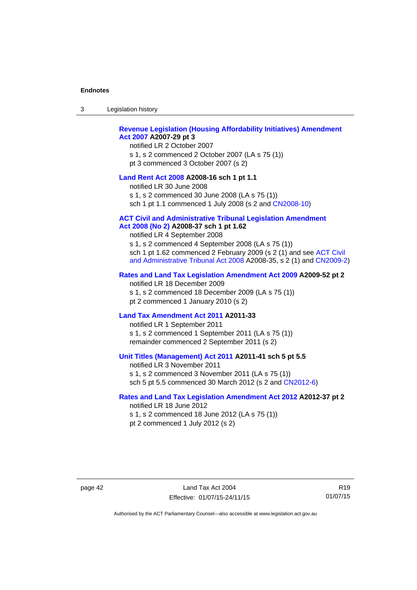| -3 | Legislation history |  |
|----|---------------------|--|
|----|---------------------|--|

### **[Revenue Legislation \(Housing Affordability Initiatives\) Amendment](http://www.legislation.act.gov.au/a/2007-29)  [Act 2007](http://www.legislation.act.gov.au/a/2007-29) A2007-29 pt 3**

notified LR 2 October 2007 s 1, s 2 commenced 2 October 2007 (LA s 75 (1)) pt 3 commenced 3 October 2007 (s 2)

#### **[Land Rent Act 2008](http://www.legislation.act.gov.au/a/2008-16) A2008-16 sch 1 pt 1.1**

notified LR 30 June 2008 s 1, s 2 commenced 30 June 2008 (LA s 75 (1)) sch 1 pt 1.1 commenced 1 July 2008 (s 2 and [CN2008-10\)](http://www.legislation.act.gov.au/cn/2008-10/default.asp)

#### **[ACT Civil and Administrative Tribunal Legislation Amendment](http://www.legislation.act.gov.au/a/2008-37)**

#### **[Act 2008 \(No 2\)](http://www.legislation.act.gov.au/a/2008-37) A2008-37 sch 1 pt 1.62**

notified LR 4 September 2008

s 1, s 2 commenced 4 September 2008 (LA s 75 (1)) sch 1 pt 1.62 commenced 2 February 2009 (s 2 (1) and see [ACT Civil](http://www.legislation.act.gov.au/a/2008-35)  [and Administrative Tribunal Act 2008](http://www.legislation.act.gov.au/a/2008-35) A2008-35, s 2 (1) and [CN2009-2](http://www.legislation.act.gov.au/cn/2009-2/default.asp))

#### **[Rates and Land Tax Legislation Amendment Act 2009](http://www.legislation.act.gov.au/a/2009-52) A2009-52 pt 2**

notified LR 18 December 2009 s 1, s 2 commenced 18 December 2009 (LA s 75 (1)) pt 2 commenced 1 January 2010 (s 2)

#### **[Land Tax Amendment Act 2011](http://www.legislation.act.gov.au/a/2011-33) A2011-33**

notified LR 1 September 2011 s 1, s 2 commenced 1 September 2011 (LA s 75 (1)) remainder commenced 2 September 2011 (s 2)

#### **[Unit Titles \(Management\) Act 2011](http://www.legislation.act.gov.au/a/2011-41) A2011-41 sch 5 pt 5.5**

notified LR 3 November 2011 s 1, s 2 commenced 3 November 2011 (LA s 75 (1)) sch 5 pt 5.5 commenced 30 March 2012 (s 2 and [CN2012-6\)](http://www.legislation.act.gov.au/cn/2012-6/default.asp)

#### **[Rates and Land Tax Legislation Amendment Act 2012](http://www.legislation.act.gov.au/a/2012-37) A2012-37 pt 2**

notified LR 18 June 2012 s 1, s 2 commenced 18 June 2012 (LA s 75 (1)) pt 2 commenced 1 July 2012 (s 2)

page 42 Land Tax Act 2004 Effective: 01/07/15-24/11/15

R19 01/07/15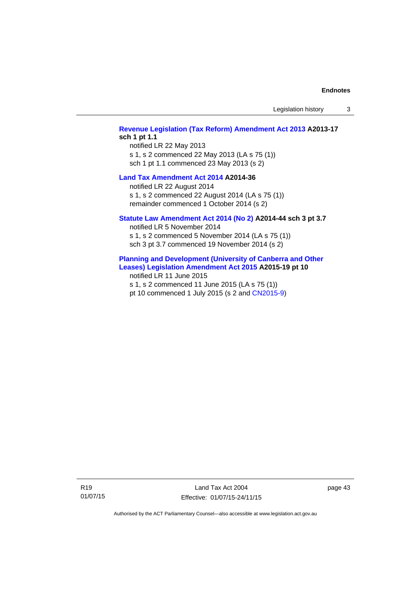### **[Revenue Legislation \(Tax Reform\) Amendment Act 2013](http://www.legislation.act.gov.au/a/2013-17) A2013-17 sch 1 pt 1.1**

notified LR 22 May 2013 s 1, s 2 commenced 22 May 2013 (LA s 75 (1)) sch 1 pt 1.1 commenced 23 May 2013 (s 2)

#### **[Land Tax Amendment Act 2014](http://www.legislation.act.gov.au/a/2014-36) A2014-36**

notified LR 22 August 2014 s 1, s 2 commenced 22 August 2014 (LA s 75 (1)) remainder commenced 1 October 2014 (s 2)

#### **[Statute Law Amendment Act 2014 \(No 2\)](http://www.legislation.act.gov.au/a/2014-44) A2014-44 sch 3 pt 3.7**

notified LR 5 November 2014 s 1, s 2 commenced 5 November 2014 (LA s 75 (1)) sch 3 pt 3.7 commenced 19 November 2014 (s 2)

#### **[Planning and Development \(University of Canberra and Other](http://www.legislation.act.gov.au/a/2015-19)  [Leases\) Legislation Amendment Act 2015](http://www.legislation.act.gov.au/a/2015-19) A2015-19 pt 10**

notified LR 11 June 2015 s 1, s 2 commenced 11 June 2015 (LA s 75 (1)) pt 10 commenced 1 July 2015 (s 2 and [CN2015-9\)](http://www.legislation.act.gov.au/cn/2015-9/default.asp)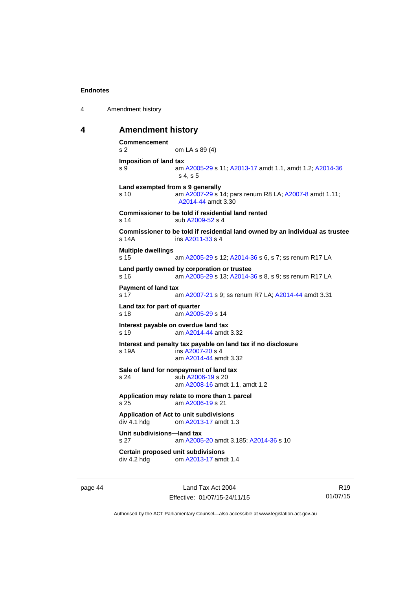```
4 Amendment history
```
#### <span id="page-49-0"></span>**4 Amendment history**

```
Commencement 
s 2 om LA s 89 (4) 
Imposition of land tax 
s 9 am A2005-29 s 11; A2013-17 amdt 1.1, amdt 1.2; A2014-36
                 s 4, s 5 
Land exempted from s 9 generally 
s 10 am A2007-29 s 14; pars renum R8 LA; A2007-8 amdt 1.11; 
                 A2014-44 amdt 3.30 
Commissioner to be told if residential land rented 
 A2009-52 s 4
Commissioner to be told if residential land owned by an individual as trustee 
s 14A ins A2011-33 s 4
Multiple dwellings 
s 15 am A2005-29 s 12; A2014-36 s 6, s 7; ss renum R17 LA 
Land partly owned by corporation or trustee 
s 16 am A2005-29 s 13; A2014-36 s 8, s 9; ss renum R17 LA 
Payment of land tax 
 A2007-21 A2014-44 amdt 3.31
Land tax for part of quarter 
s 18 am A2005-29 s 14 
Interest payable on overdue land tax 
s 19 am A2014-44 amdt 3.32
Interest and penalty tax payable on land tax if no disclosure 
s 19A ins A2007-20 s 4
                 am A2014-44 amdt 3.32
Sale of land for nonpayment of land tax 
s 24 sub A2006-19 s 20 
                 am A2008-16 amdt 1.1, amdt 1.2 
Application may relate to more than 1 parcel 
s 25 am A2006-19 s 21 
Application of Act to unit subdivisions 
div 4.1 hdg om A2013-17 amdt 1.3
Unit subdivisions—land tax 
s 27 am A2005-20 amdt 3.185; A2014-36 s 10 
Certain proposed unit subdivisions<br>div 4.2 hdg om A2013-17 amd
                 A2013-17 amdt 1.4
```
page 44 Land Tax Act 2004 Effective: 01/07/15-24/11/15

R19 01/07/15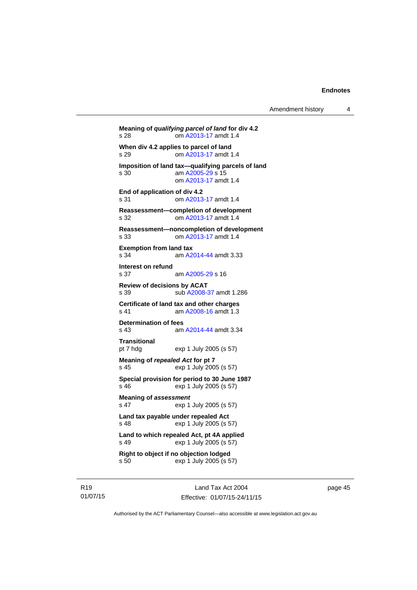```
Meaning of qualifying parcel of land for div 4.2 
s 28 om A2013-17 amdt 1.4
When div 4.2 applies to parcel of land 
s 29 om A2013-17 amdt 1.4
Imposition of land tax—qualifying parcels of land 
                 A2005-29 s 15
                 om A2013-17 amdt 1.4
End of application of div 4.2 
s 31 om A2013-17 amdt 1.4
Reassessment—completion of development 
s 32 om A2013-17 amdt 1.4
Reassessment—noncompletion of development 
s 33 om A2013-17 amdt 1.4
Exemption from land tax 
s 34 am A2014-44 amdt 3.33
Interest on refund 
                 A2005-29 s 16
Review of decisions by ACAT 
s 39 sub A2008-37 amdt 1.286 
Certificate of land tax and other charges<br>s 41 am A2008-16 amdt 1.3
                 A2008-16 amdt 1.3
Determination of fees 
s 43 am A2014-44 amdt 3.34
Transitional 
pt 7 hdg exp 1 July 2005 (s 57) 
Meaning of repealed Act for pt 7 
s 45 exp 1 July 2005 (s 57) 
Special provision for period to 30 June 1987 
s 46 exp 1 July 2005 (s 57) 
Meaning of assessment
s 47 exp 1 July 2005 (s 57) 
Land tax payable under repealed Act 
s 48 exp 1 July 2005 (s 57) 
Land to which repealed Act, pt 4A applied 
s 49 exp 1 July 2005 (s 57) 
Right to object if no objection lodged 
s 50 exp 1 July 2005 (s 57)
```
R19 01/07/15

Land Tax Act 2004 Effective: 01/07/15-24/11/15 page 45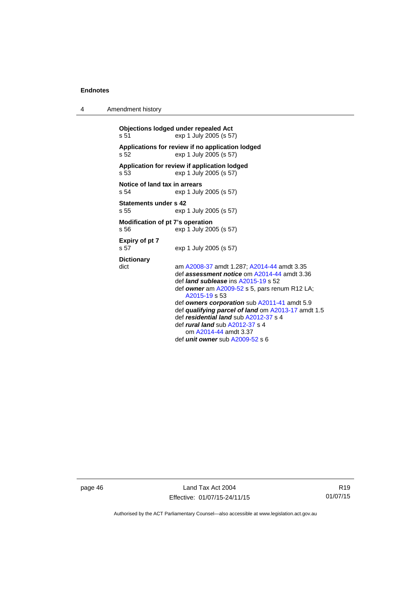| 4 | Amendment history                                                                                                                                                                                                                                                                                                                                                                                                                                                                                    |  |  |
|---|------------------------------------------------------------------------------------------------------------------------------------------------------------------------------------------------------------------------------------------------------------------------------------------------------------------------------------------------------------------------------------------------------------------------------------------------------------------------------------------------------|--|--|
|   | <b>Objections lodged under repealed Act</b><br>s 51<br>exp 1 July 2005 (s 57)                                                                                                                                                                                                                                                                                                                                                                                                                        |  |  |
|   | Applications for review if no application lodged<br>exp 1 July 2005 (s 57)<br>s <sub>52</sub>                                                                                                                                                                                                                                                                                                                                                                                                        |  |  |
|   | Application for review if application lodged<br>s 53<br>exp 1 July 2005 (s 57)                                                                                                                                                                                                                                                                                                                                                                                                                       |  |  |
|   | Notice of land tax in arrears<br>s <sub>54</sub><br>exp 1 July 2005 (s 57)                                                                                                                                                                                                                                                                                                                                                                                                                           |  |  |
|   | Statements under s 42<br>s <sub>55</sub><br>exp 1 July 2005 (s 57)                                                                                                                                                                                                                                                                                                                                                                                                                                   |  |  |
|   | Modification of pt 7's operation<br>s 56<br>exp 1 July 2005 (s 57)                                                                                                                                                                                                                                                                                                                                                                                                                                   |  |  |
|   | Expiry of pt 7<br>s 57<br>exp 1 July 2005 (s 57)                                                                                                                                                                                                                                                                                                                                                                                                                                                     |  |  |
|   | <b>Dictionary</b><br>dict<br>am A2008-37 amdt 1.287; A2014-44 amdt 3.35<br>def assessment notice om A2014-44 amdt 3.36<br>def <i>land sublease</i> ins A2015-19 s 52<br>def owner am $A2009-52$ s 5, pars renum R12 LA;<br>A2015-19 s 53<br>def owners corporation sub A2011-41 amdt 5.9<br>def qualifying parcel of land om A2013-17 amdt 1.5<br>def residential land sub A2012-37 s 4<br>def <i>rural land</i> sub A2012-37 s 4<br>om A2014-44 amdt 3.37<br>def <i>unit owner</i> sub A2009-52 s 6 |  |  |
|   |                                                                                                                                                                                                                                                                                                                                                                                                                                                                                                      |  |  |

page 46 Land Tax Act 2004 Effective: 01/07/15-24/11/15

R19 01/07/15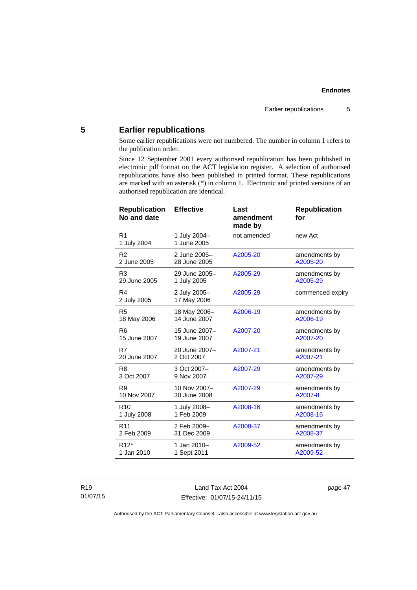## <span id="page-52-0"></span>**5 Earlier republications**

Some earlier republications were not numbered. The number in column 1 refers to the publication order.

Since 12 September 2001 every authorised republication has been published in electronic pdf format on the ACT legislation register. A selection of authorised republications have also been published in printed format. These republications are marked with an asterisk (\*) in column 1. Electronic and printed versions of an authorised republication are identical.

| <b>Republication</b><br>No and date | <b>Effective</b>            | Last<br>amendment<br>made by | <b>Republication</b><br>for |
|-------------------------------------|-----------------------------|------------------------------|-----------------------------|
| R <sub>1</sub><br>1 July 2004       | 1 July 2004-<br>1 June 2005 | not amended                  | new Act                     |
| R <sub>2</sub>                      | 2 June 2005-                | A2005-20                     | amendments by               |
| 2 June 2005                         | 28 June 2005                |                              | A2005-20                    |
| R <sub>3</sub>                      | 29 June 2005-               | A2005-29                     | amendments by               |
| 29 June 2005                        | 1 July 2005                 |                              | A2005-29                    |
| R4<br>2 July 2005                   | 2 July 2005-<br>17 May 2006 | A2005-29                     | commenced expiry            |
| R <sub>5</sub>                      | 18 May 2006-                | A2006-19                     | amendments by               |
| 18 May 2006                         | 14 June 2007                |                              | A2006-19                    |
| R <sub>6</sub>                      | 15 June 2007-               | A2007-20                     | amendments by               |
| 15 June 2007                        | 19 June 2007                |                              | A2007-20                    |
| R7                                  | 20 June 2007-               | A2007-21                     | amendments by               |
| 20 June 2007                        | 2 Oct 2007                  |                              | A2007-21                    |
| R <sub>8</sub>                      | 3 Oct 2007-                 | A2007-29                     | amendments by               |
| 3 Oct 2007                          | 9 Nov 2007                  |                              | A2007-29                    |
| R <sub>9</sub>                      | 10 Nov 2007-                | A2007-29                     | amendments by               |
| 10 Nov 2007                         | 30 June 2008                |                              | A2007-8                     |
| R <sub>10</sub>                     | 1 July 2008-                | A2008-16                     | amendments by               |
| 1 July 2008                         | 1 Feb 2009                  |                              | A2008-16                    |
| R <sub>11</sub>                     | 2 Feb 2009-                 | A2008-37                     | amendments by               |
| 2 Feb 2009                          | 31 Dec 2009                 |                              | A2008-37                    |
| R <sub>12</sub> <sup>*</sup>        | 1 Jan 2010-                 | A2009-52                     | amendments by               |
| 1 Jan 2010                          | 1 Sept 2011                 |                              | A2009-52                    |

R19 01/07/15

Land Tax Act 2004 Effective: 01/07/15-24/11/15 page 47